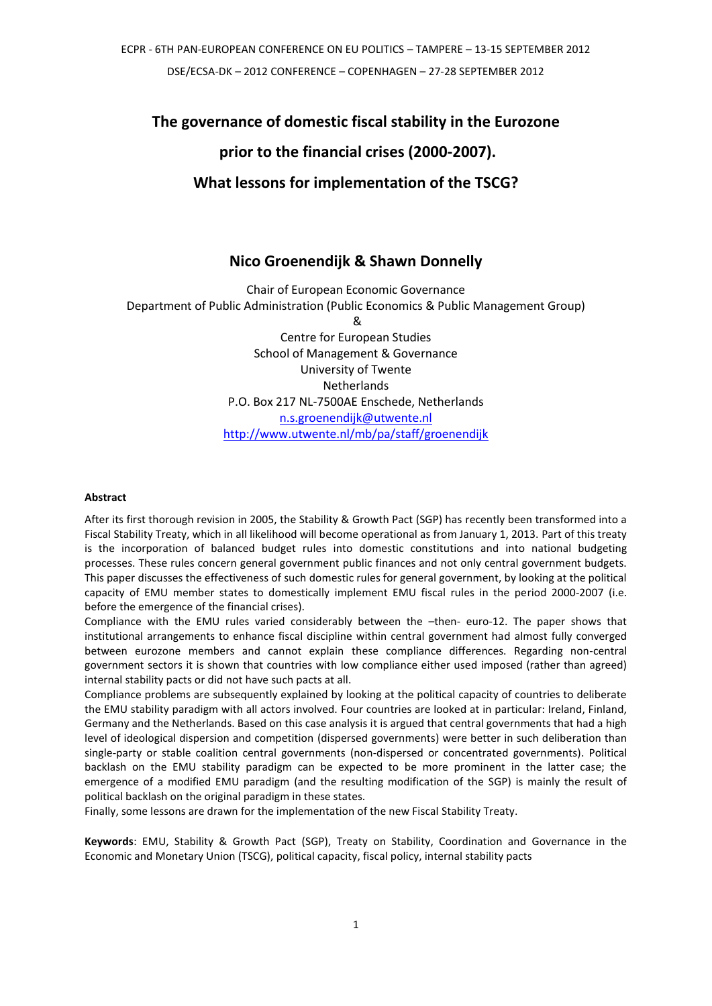**The governance of domestic fiscal stability in the Eurozone**

# **prior to the financial crises (2000-2007).**

# **What lessons for implementation of the TSCG?**

# **Nico Groenendijk & Shawn Donnelly**

Chair of European Economic Governance Department of Public Administration (Public Economics & Public Management Group) & Centre for European Studies School of Management & Governance University of Twente Netherlands P.O. Box 217 NL-7500AE Enschede, Netherlands [n.s.groenendijk@utwente.nl](mailto:n.s.groenendijk@utwente.nl) <http://www.utwente.nl/mb/pa/staff/groenendijk>

#### **Abstract**

After its first thorough revision in 2005, the Stability & Growth Pact (SGP) has recently been transformed into a Fiscal Stability Treaty, which in all likelihood will become operational as from January 1, 2013. Part of this treaty is the incorporation of balanced budget rules into domestic constitutions and into national budgeting processes. These rules concern general government public finances and not only central government budgets. This paper discusses the effectiveness of such domestic rules for general government, by looking at the political capacity of EMU member states to domestically implement EMU fiscal rules in the period 2000-2007 (i.e. before the emergence of the financial crises).

Compliance with the EMU rules varied considerably between the –then- euro-12. The paper shows that institutional arrangements to enhance fiscal discipline within central government had almost fully converged between eurozone members and cannot explain these compliance differences. Regarding non-central government sectors it is shown that countries with low compliance either used imposed (rather than agreed) internal stability pacts or did not have such pacts at all.

Compliance problems are subsequently explained by looking at the political capacity of countries to deliberate the EMU stability paradigm with all actors involved. Four countries are looked at in particular: Ireland, Finland, Germany and the Netherlands. Based on this case analysis it is argued that central governments that had a high level of ideological dispersion and competition (dispersed governments) were better in such deliberation than single-party or stable coalition central governments (non-dispersed or concentrated governments). Political backlash on the EMU stability paradigm can be expected to be more prominent in the latter case; the emergence of a modified EMU paradigm (and the resulting modification of the SGP) is mainly the result of political backlash on the original paradigm in these states.

Finally, some lessons are drawn for the implementation of the new Fiscal Stability Treaty.

**Keywords**: EMU, Stability & Growth Pact (SGP), Treaty on Stability, Coordination and Governance in the Economic and Monetary Union (TSCG), political capacity, fiscal policy, internal stability pacts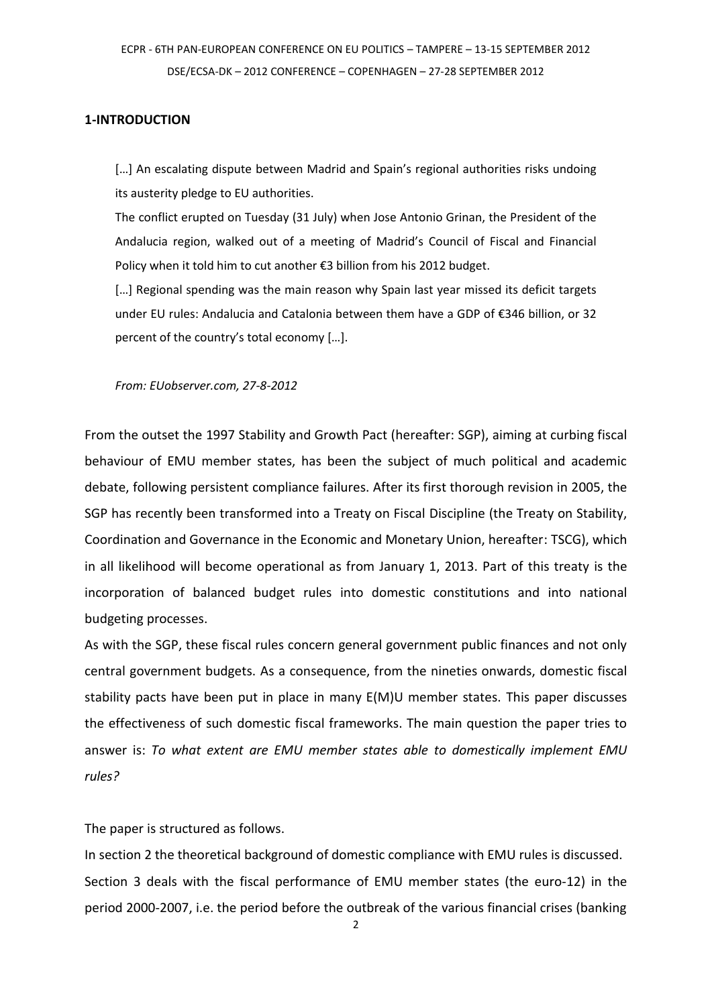### **1-INTRODUCTION**

[...] An escalating dispute between Madrid and Spain's regional authorities risks undoing its austerity pledge to EU authorities.

The conflict erupted on Tuesday (31 July) when Jose Antonio Grinan, the President of the Andalucia region, walked out of a meeting of Madrid's Council of Fiscal and Financial Policy when it told him to cut another €3 billion from his 2012 budget.

[...] Regional spending was the main reason why Spain last year missed its deficit targets under EU rules: Andalucia and Catalonia between them have a GDP of €346 billion, or 32 percent of the country's total economy  $[...]$ .

*From: EUobserver.com, 27-8-2012*

From the outset the 1997 Stability and Growth Pact (hereafter: SGP), aiming at curbing fiscal behaviour of EMU member states, has been the subject of much political and academic debate, following persistent compliance failures. After its first thorough revision in 2005, the SGP has recently been transformed into a Treaty on Fiscal Discipline (the Treaty on Stability, Coordination and Governance in the Economic and Monetary Union, hereafter: TSCG), which in all likelihood will become operational as from January 1, 2013. Part of this treaty is the incorporation of balanced budget rules into domestic constitutions and into national budgeting processes.

As with the SGP, these fiscal rules concern general government public finances and not only central government budgets. As a consequence, from the nineties onwards, domestic fiscal stability pacts have been put in place in many E(M)U member states. This paper discusses the effectiveness of such domestic fiscal frameworks. The main question the paper tries to answer is: *To what extent are EMU member states able to domestically implement EMU rules?*

The paper is structured as follows.

In section 2 the theoretical background of domestic compliance with EMU rules is discussed. Section 3 deals with the fiscal performance of EMU member states (the euro-12) in the period 2000-2007, i.e. the period before the outbreak of the various financial crises (banking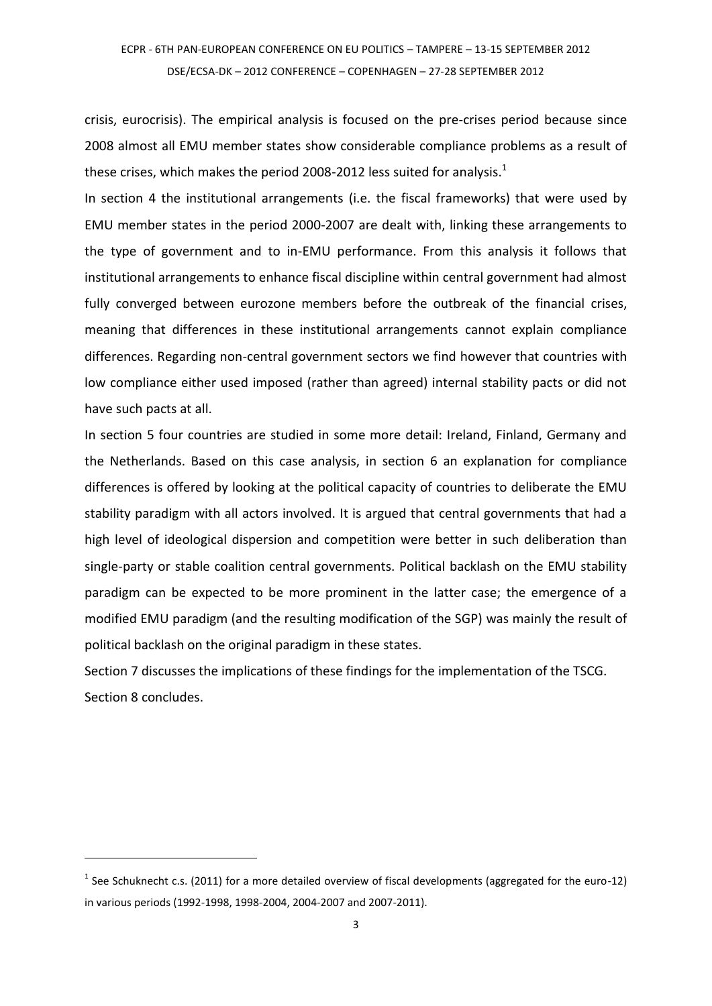crisis, eurocrisis). The empirical analysis is focused on the pre-crises period because since 2008 almost all EMU member states show considerable compliance problems as a result of these crises, which makes the period 2008-2012 less suited for analysis. $^{\text{1}}$ 

In section 4 the institutional arrangements (i.e. the fiscal frameworks) that were used by EMU member states in the period 2000-2007 are dealt with, linking these arrangements to the type of government and to in-EMU performance. From this analysis it follows that institutional arrangements to enhance fiscal discipline within central government had almost fully converged between eurozone members before the outbreak of the financial crises, meaning that differences in these institutional arrangements cannot explain compliance differences. Regarding non-central government sectors we find however that countries with low compliance either used imposed (rather than agreed) internal stability pacts or did not have such pacts at all.

In section 5 four countries are studied in some more detail: Ireland, Finland, Germany and the Netherlands. Based on this case analysis, in section 6 an explanation for compliance differences is offered by looking at the political capacity of countries to deliberate the EMU stability paradigm with all actors involved. It is argued that central governments that had a high level of ideological dispersion and competition were better in such deliberation than single-party or stable coalition central governments. Political backlash on the EMU stability paradigm can be expected to be more prominent in the latter case; the emergence of a modified EMU paradigm (and the resulting modification of the SGP) was mainly the result of political backlash on the original paradigm in these states.

Section 7 discusses the implications of these findings for the implementation of the TSCG. Section 8 concludes.

<u>.</u>

 $<sup>1</sup>$  See Schuknecht c.s. (2011) for a more detailed overview of fiscal developments (aggregated for the euro-12)</sup> in various periods (1992-1998, 1998-2004, 2004-2007 and 2007-2011).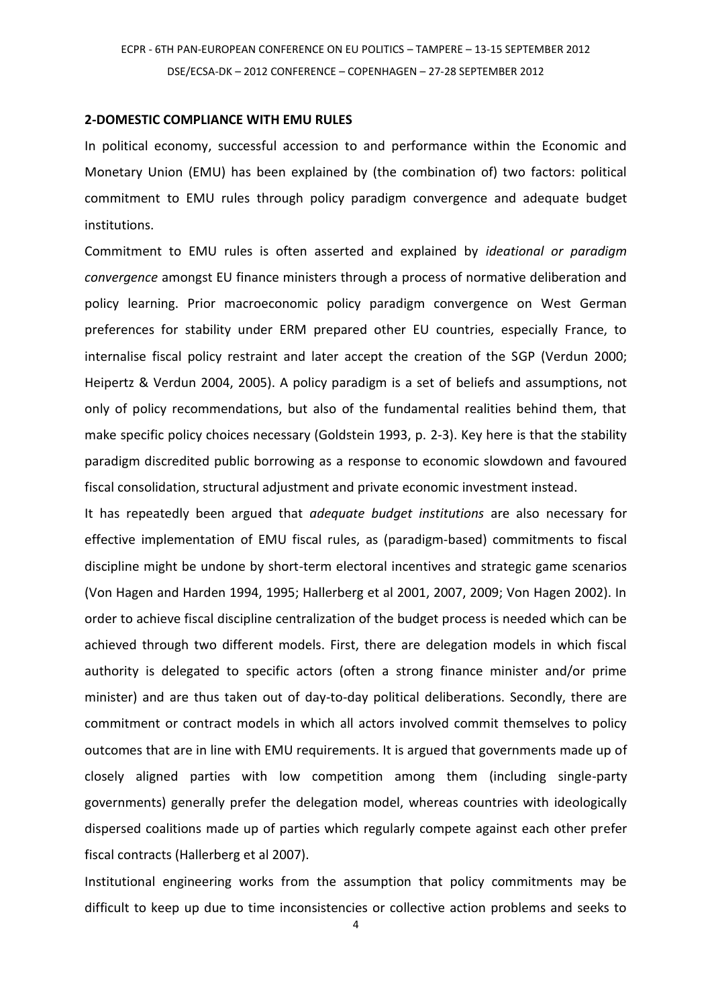#### **2-DOMESTIC COMPLIANCE WITH EMU RULES**

In political economy, successful accession to and performance within the Economic and Monetary Union (EMU) has been explained by (the combination of) two factors: political commitment to EMU rules through policy paradigm convergence and adequate budget institutions.

Commitment to EMU rules is often asserted and explained by *ideational or paradigm convergence* amongst EU finance ministers through a process of normative deliberation and policy learning. Prior macroeconomic policy paradigm convergence on West German preferences for stability under ERM prepared other EU countries, especially France, to internalise fiscal policy restraint and later accept the creation of the SGP (Verdun 2000; Heipertz & Verdun 2004, 2005). A policy paradigm is a set of beliefs and assumptions, not only of policy recommendations, but also of the fundamental realities behind them, that make specific policy choices necessary (Goldstein 1993, p. 2-3). Key here is that the stability paradigm discredited public borrowing as a response to economic slowdown and favoured fiscal consolidation, structural adjustment and private economic investment instead.

It has repeatedly been argued that *adequate budget institutions* are also necessary for effective implementation of EMU fiscal rules, as (paradigm-based) commitments to fiscal discipline might be undone by short-term electoral incentives and strategic game scenarios (Von Hagen and Harden 1994, 1995; Hallerberg et al 2001, 2007, 2009; Von Hagen 2002). In order to achieve fiscal discipline centralization of the budget process is needed which can be achieved through two different models. First, there are delegation models in which fiscal authority is delegated to specific actors (often a strong finance minister and/or prime minister) and are thus taken out of day-to-day political deliberations. Secondly, there are commitment or contract models in which all actors involved commit themselves to policy outcomes that are in line with EMU requirements. It is argued that governments made up of closely aligned parties with low competition among them (including single-party governments) generally prefer the delegation model, whereas countries with ideologically dispersed coalitions made up of parties which regularly compete against each other prefer fiscal contracts (Hallerberg et al 2007).

Institutional engineering works from the assumption that policy commitments may be difficult to keep up due to time inconsistencies or collective action problems and seeks to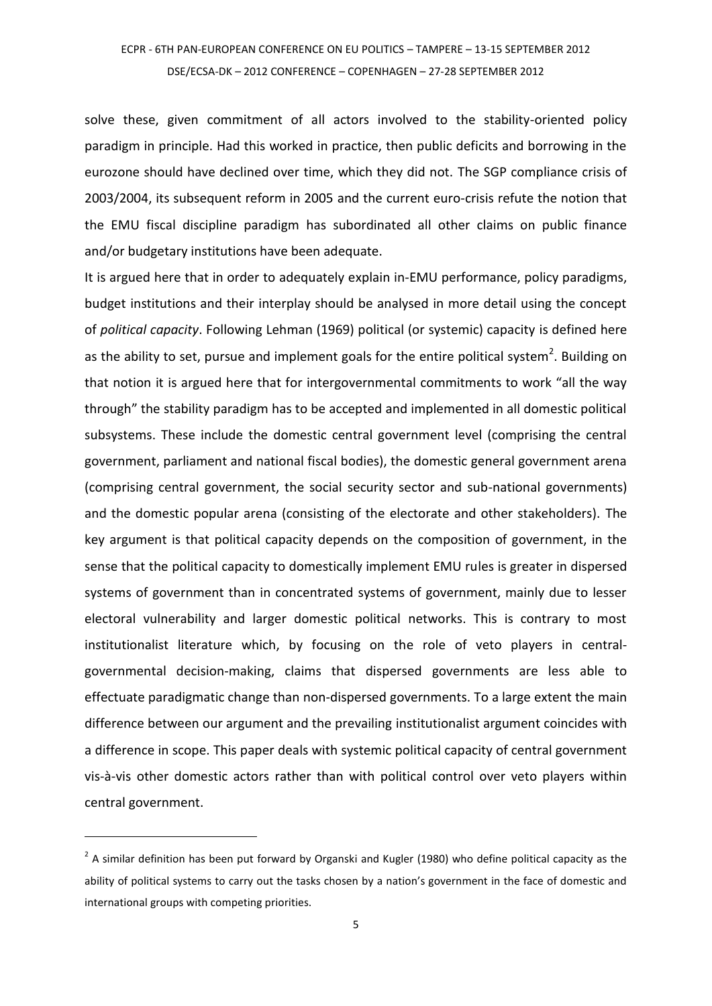solve these, given commitment of all actors involved to the stability-oriented policy paradigm in principle. Had this worked in practice, then public deficits and borrowing in the eurozone should have declined over time, which they did not. The SGP compliance crisis of 2003/2004, its subsequent reform in 2005 and the current euro-crisis refute the notion that the EMU fiscal discipline paradigm has subordinated all other claims on public finance and/or budgetary institutions have been adequate.

It is argued here that in order to adequately explain in-EMU performance, policy paradigms, budget institutions and their interplay should be analysed in more detail using the concept of *political capacity*. Following Lehman (1969) political (or systemic) capacity is defined here as the ability to set, pursue and implement goals for the entire political system<sup>2</sup>. Building on that notion it is argued here that for intergovernmental commitments to work "all the way through" the stability paradigm has to be accepted and implemented in all domestic political subsystems. These include the domestic central government level (comprising the central government, parliament and national fiscal bodies), the domestic general government arena (comprising central government, the social security sector and sub-national governments) and the domestic popular arena (consisting of the electorate and other stakeholders). The key argument is that political capacity depends on the composition of government, in the sense that the political capacity to domestically implement EMU rules is greater in dispersed systems of government than in concentrated systems of government, mainly due to lesser electoral vulnerability and larger domestic political networks. This is contrary to most institutionalist literature which, by focusing on the role of veto players in centralgovernmental decision-making, claims that dispersed governments are less able to effectuate paradigmatic change than non-dispersed governments. To a large extent the main difference between our argument and the prevailing institutionalist argument coincides with a difference in scope. This paper deals with systemic political capacity of central government vis-à-vis other domestic actors rather than with political control over veto players within central government.

 $2$  A similar definition has been put forward by Organski and Kugler (1980) who define political capacity as the ability of political systems to carry out the tasks chosen by a nation's government in the face of domestic and international groups with competing priorities.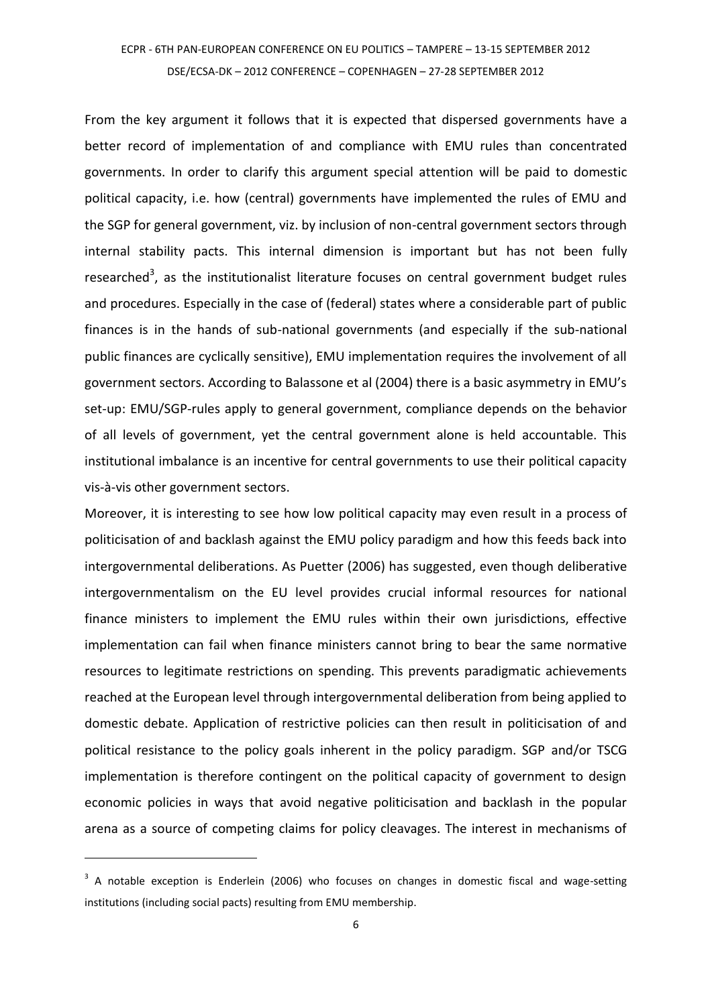From the key argument it follows that it is expected that dispersed governments have a better record of implementation of and compliance with EMU rules than concentrated governments. In order to clarify this argument special attention will be paid to domestic political capacity, i.e. how (central) governments have implemented the rules of EMU and the SGP for general government, viz. by inclusion of non-central government sectors through internal stability pacts. This internal dimension is important but has not been fully researched<sup>3</sup>, as the institutionalist literature focuses on central government budget rules and procedures. Especially in the case of (federal) states where a considerable part of public finances is in the hands of sub-national governments (and especially if the sub-national public finances are cyclically sensitive), EMU implementation requires the involvement of all government sectors. According to Balassone et al (2004) there is a basic asymmetry in EMU's set-up: EMU/SGP-rules apply to general government, compliance depends on the behavior of all levels of government, yet the central government alone is held accountable. This institutional imbalance is an incentive for central governments to use their political capacity vis-à-vis other government sectors.

Moreover, it is interesting to see how low political capacity may even result in a process of politicisation of and backlash against the EMU policy paradigm and how this feeds back into intergovernmental deliberations. As Puetter (2006) has suggested, even though deliberative intergovernmentalism on the EU level provides crucial informal resources for national finance ministers to implement the EMU rules within their own jurisdictions, effective implementation can fail when finance ministers cannot bring to bear the same normative resources to legitimate restrictions on spending. This prevents paradigmatic achievements reached at the European level through intergovernmental deliberation from being applied to domestic debate. Application of restrictive policies can then result in politicisation of and political resistance to the policy goals inherent in the policy paradigm. SGP and/or TSCG implementation is therefore contingent on the political capacity of government to design economic policies in ways that avoid negative politicisation and backlash in the popular arena as a source of competing claims for policy cleavages. The interest in mechanisms of

<u>.</u>

<sup>&</sup>lt;sup>3</sup> A notable exception is Enderlein (2006) who focuses on changes in domestic fiscal and wage-setting institutions (including social pacts) resulting from EMU membership.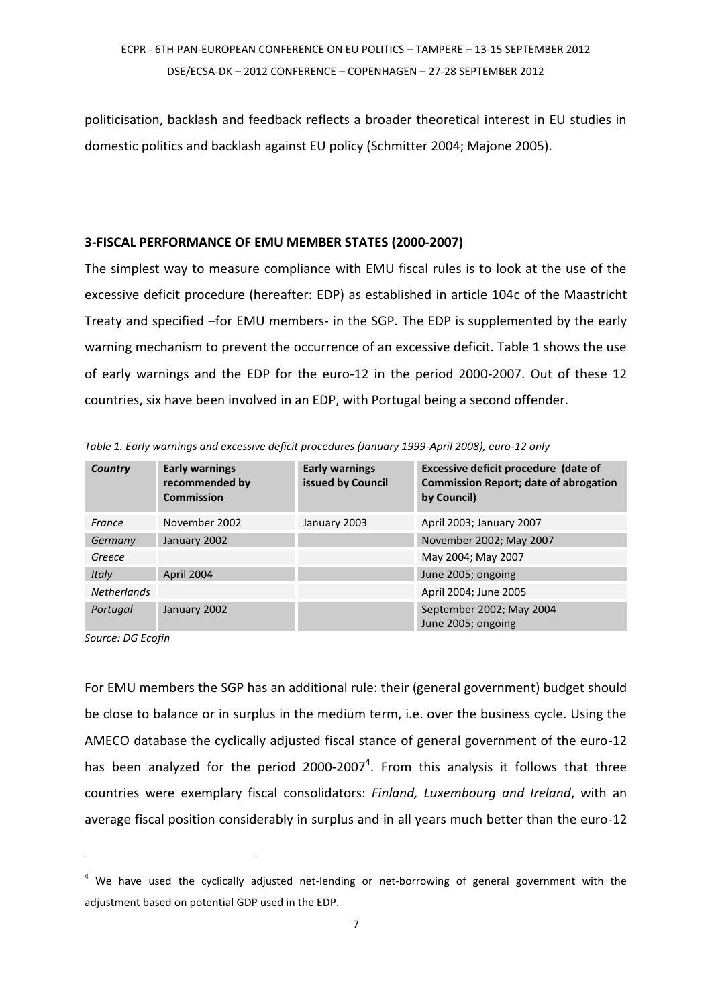politicisation, backlash and feedback reflects a broader theoretical interest in EU studies in domestic politics and backlash against EU policy (Schmitter 2004; Majone 2005).

### **3-FISCAL PERFORMANCE OF EMU MEMBER STATES (2000-2007)**

The simplest way to measure compliance with EMU fiscal rules is to look at the use of the excessive deficit procedure (hereafter: EDP) as established in article 104c of the Maastricht Treaty and specified –for EMU members- in the SGP. The EDP is supplemented by the early warning mechanism to prevent the occurrence of an excessive deficit. Table 1 shows the use of early warnings and the EDP for the euro-12 in the period 2000-2007. Out of these 12 countries, six have been involved in an EDP, with Portugal being a second offender.

| Country            | <b>Early warnings</b><br>recommended by<br><b>Commission</b> | <b>Early warnings</b><br>issued by Council | Excessive deficit procedure (date of<br><b>Commission Report; date of abrogation</b><br>by Council) |
|--------------------|--------------------------------------------------------------|--------------------------------------------|-----------------------------------------------------------------------------------------------------|
| France             | November 2002                                                | January 2003                               | April 2003; January 2007                                                                            |
| Germany            | January 2002                                                 |                                            | November 2002; May 2007                                                                             |
| Greece             |                                                              |                                            | May 2004; May 2007                                                                                  |
| Italy              | April 2004                                                   |                                            | June 2005; ongoing                                                                                  |
| <b>Netherlands</b> |                                                              |                                            | April 2004; June 2005                                                                               |
| Portugal           | January 2002                                                 |                                            | September 2002; May 2004<br>June 2005; ongoing                                                      |

*Table 1. Early warnings and excessive deficit procedures (January 1999-April 2008), euro-12 only*

*Source: DG Ecofin* 

<u>.</u>

For EMU members the SGP has an additional rule: their (general government) budget should be close to balance or in surplus in the medium term, i.e. over the business cycle. Using the AMECO database the cyclically adjusted fiscal stance of general government of the euro-12 has been analyzed for the period  $2000-2007<sup>4</sup>$ . From this analysis it follows that three countries were exemplary fiscal consolidators: *Finland, Luxembourg and Ireland*, with an average fiscal position considerably in surplus and in all years much better than the euro-12

 $4$  We have used the cyclically adjusted net-lending or net-borrowing of general government with the adjustment based on potential GDP used in the EDP.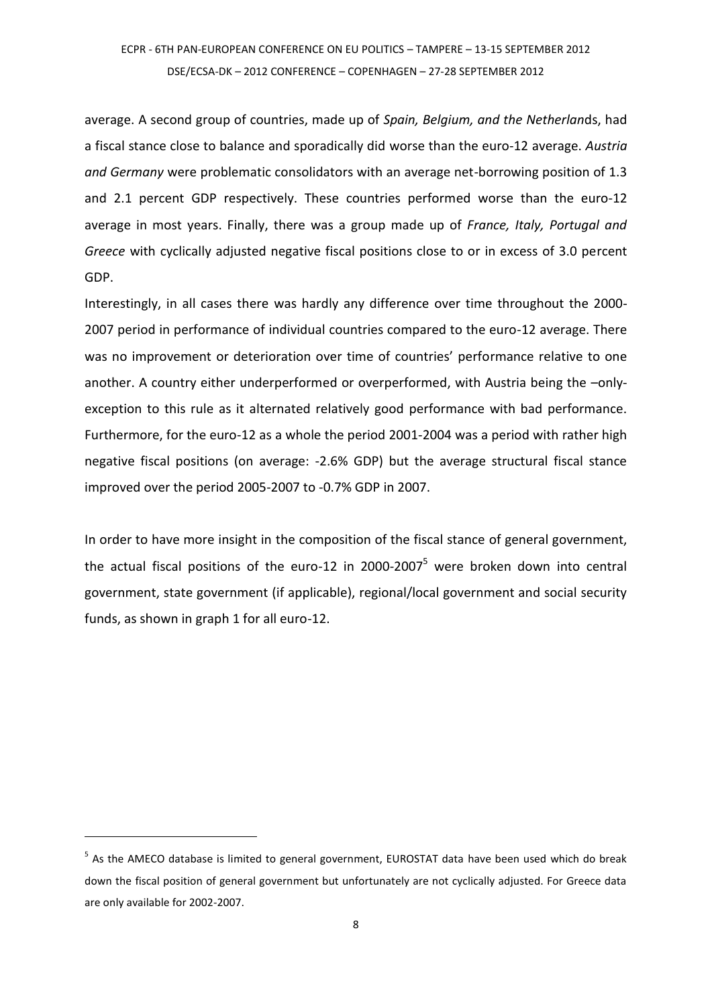average. A second group of countries, made up of *Spain, Belgium, and the Netherlan*ds, had a fiscal stance close to balance and sporadically did worse than the euro-12 average. *Austria and Germany* were problematic consolidators with an average net-borrowing position of 1.3 and 2.1 percent GDP respectively. These countries performed worse than the euro-12 average in most years. Finally, there was a group made up of *France, Italy, Portugal and Greece* with cyclically adjusted negative fiscal positions close to or in excess of 3.0 percent GDP.

Interestingly, in all cases there was hardly any difference over time throughout the 2000- 2007 period in performance of individual countries compared to the euro-12 average. There was no improvement or deterioration over time of countries' performance relative to one another. A country either underperformed or overperformed, with Austria being the –onlyexception to this rule as it alternated relatively good performance with bad performance. Furthermore, for the euro-12 as a whole the period 2001-2004 was a period with rather high negative fiscal positions (on average: -2.6% GDP) but the average structural fiscal stance improved over the period 2005-2007 to -0.7% GDP in 2007.

In order to have more insight in the composition of the fiscal stance of general government, the actual fiscal positions of the euro-12 in 2000-2007<sup>5</sup> were broken down into central government, state government (if applicable), regional/local government and social security funds, as shown in graph 1 for all euro-12.

<sup>&</sup>lt;sup>5</sup> As the AMECO database is limited to general government, EUROSTAT data have been used which do break down the fiscal position of general government but unfortunately are not cyclically adjusted. For Greece data are only available for 2002-2007.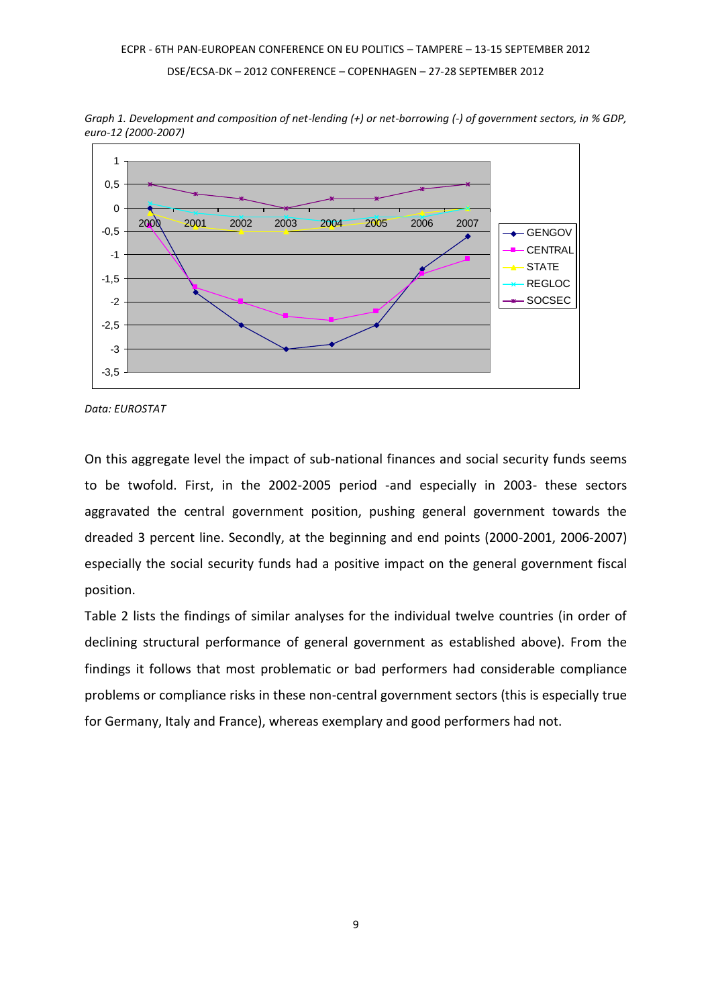

*Graph 1. Development and composition of net-lending (+) or net-borrowing (-) of government sectors, in % GDP, euro-12 (2000-2007)*

*Data: EUROSTAT*

On this aggregate level the impact of sub-national finances and social security funds seems to be twofold. First, in the 2002-2005 period -and especially in 2003- these sectors aggravated the central government position, pushing general government towards the dreaded 3 percent line. Secondly, at the beginning and end points (2000-2001, 2006-2007) especially the social security funds had a positive impact on the general government fiscal position.

Table 2 lists the findings of similar analyses for the individual twelve countries (in order of declining structural performance of general government as established above). From the findings it follows that most problematic or bad performers had considerable compliance problems or compliance risks in these non-central government sectors (this is especially true for Germany, Italy and France), whereas exemplary and good performers had not.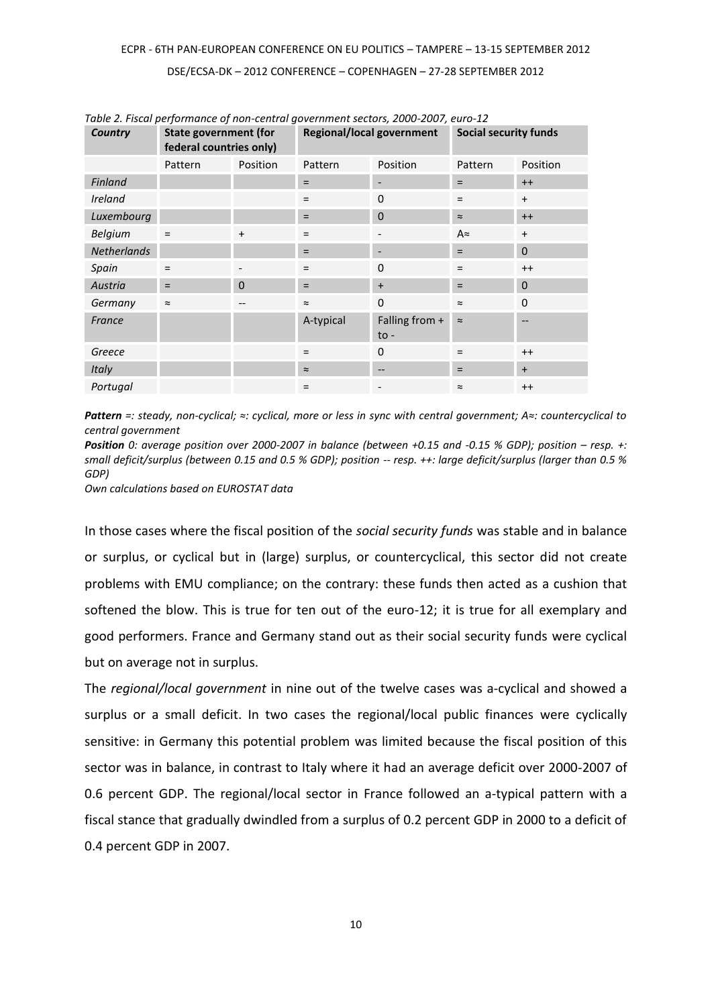| Country            | <b>State government (for</b><br>federal countries only) |           | <b>Regional/local government</b> |                                   | <b>Social security funds</b> |                |
|--------------------|---------------------------------------------------------|-----------|----------------------------------|-----------------------------------|------------------------------|----------------|
|                    | Pattern                                                 | Position  | Pattern                          | Position                          | Pattern                      | Position       |
| Finland            |                                                         |           | $=$                              |                                   | $=$                          | $++$           |
| <b>Ireland</b>     |                                                         |           | $=$                              | $\Omega$                          | $=$                          | $+$            |
| Luxembourg         |                                                         |           | $=$                              | $\overline{0}$                    | $\approx$                    | $++$           |
| <b>Belgium</b>     | $\equiv$                                                | $\ddot{}$ | $=$                              |                                   | A $\approx$                  | $\ddot{}$      |
| <b>Netherlands</b> |                                                         |           | $=$                              |                                   | $=$                          | $\mathbf{0}$   |
| Spain              | $=$                                                     |           | $=$                              | $\Omega$                          | $=$                          | $++$           |
| Austria            | $=$                                                     | $\Omega$  | $=$                              | $\ddot{}$                         | $=$                          | $\overline{0}$ |
| Germany            | $\thickapprox$                                          | --        | $\approx$                        | 0                                 | $\approx$                    | $\mathbf 0$    |
| France             |                                                         |           | A-typical                        | Falling from +<br>$\mathsf{to}$ - | $\approx$                    |                |
| Greece             |                                                         |           | $=$                              | $\Omega$                          | $\qquad \qquad =$            | $++$           |
| Italy              |                                                         |           | $\thickapprox$                   | --                                | $=$                          | $\ddot{}$      |
| Portugal           |                                                         |           | $=$                              | $\overline{\phantom{a}}$          | $\approx$                    | $++$           |

*Table 2. Fiscal performance of non-central government sectors, 2000-2007, euro-12*

*Pattern =: steady, non-cyclical; ≈: cyclical, more or less in sync with central government; A≈: countercyclical to central government*

*Position* 0: average position over 2000-2007 in balance (between +0.15 and -0.15 % GDP); position – resp. +: *small deficit/surplus (between 0.15 and 0.5 % GDP); position -- resp. ++: large deficit/surplus (larger than 0.5 % GDP)*

*Own calculations based on EUROSTAT data*

In those cases where the fiscal position of the *social security funds* was stable and in balance or surplus, or cyclical but in (large) surplus, or countercyclical, this sector did not create problems with EMU compliance; on the contrary: these funds then acted as a cushion that softened the blow. This is true for ten out of the euro-12; it is true for all exemplary and good performers. France and Germany stand out as their social security funds were cyclical but on average not in surplus.

The *regional/local government* in nine out of the twelve cases was a-cyclical and showed a surplus or a small deficit. In two cases the regional/local public finances were cyclically sensitive: in Germany this potential problem was limited because the fiscal position of this sector was in balance, in contrast to Italy where it had an average deficit over 2000-2007 of 0.6 percent GDP. The regional/local sector in France followed an a-typical pattern with a fiscal stance that gradually dwindled from a surplus of 0.2 percent GDP in 2000 to a deficit of 0.4 percent GDP in 2007.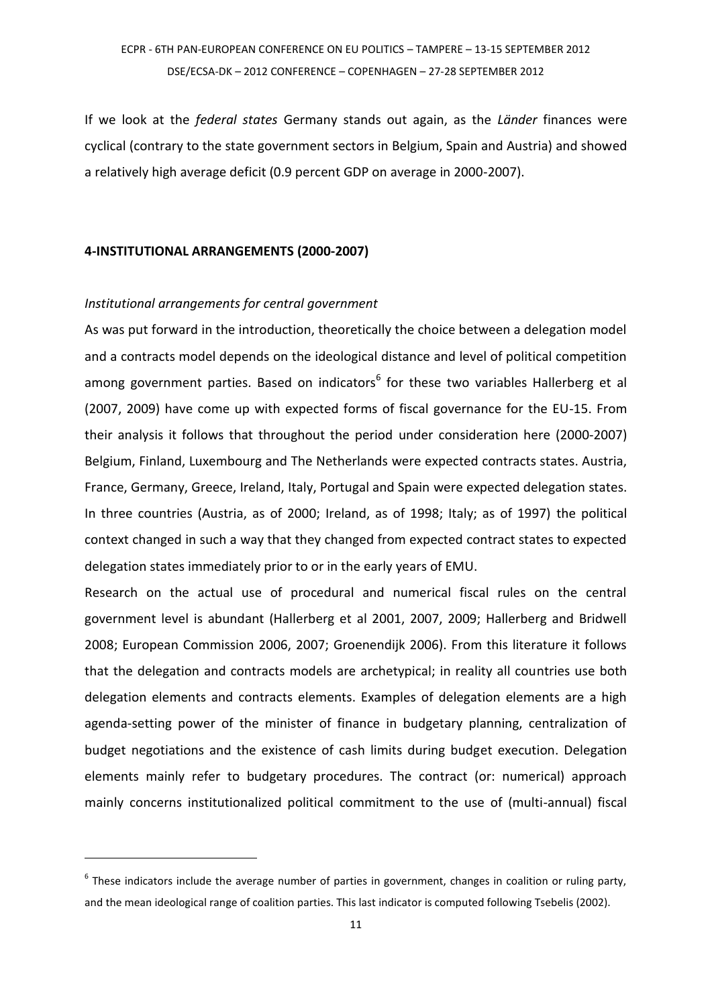If we look at the *federal states* Germany stands out again, as the *Länder* finances were cyclical (contrary to the state government sectors in Belgium, Spain and Austria) and showed a relatively high average deficit (0.9 percent GDP on average in 2000-2007).

### **4-INSTITUTIONAL ARRANGEMENTS (2000-2007)**

### *Institutional arrangements for central government*

<u>.</u>

As was put forward in the introduction, theoretically the choice between a delegation model and a contracts model depends on the ideological distance and level of political competition among government parties. Based on indicators<sup>6</sup> for these two variables Hallerberg et al (2007, 2009) have come up with expected forms of fiscal governance for the EU-15. From their analysis it follows that throughout the period under consideration here (2000-2007) Belgium, Finland, Luxembourg and The Netherlands were expected contracts states. Austria, France, Germany, Greece, Ireland, Italy, Portugal and Spain were expected delegation states. In three countries (Austria, as of 2000; Ireland, as of 1998; Italy; as of 1997) the political context changed in such a way that they changed from expected contract states to expected delegation states immediately prior to or in the early years of EMU.

Research on the actual use of procedural and numerical fiscal rules on the central government level is abundant (Hallerberg et al 2001, 2007, 2009; Hallerberg and Bridwell 2008; European Commission 2006, 2007; Groenendijk 2006). From this literature it follows that the delegation and contracts models are archetypical; in reality all countries use both delegation elements and contracts elements. Examples of delegation elements are a high agenda-setting power of the minister of finance in budgetary planning, centralization of budget negotiations and the existence of cash limits during budget execution. Delegation elements mainly refer to budgetary procedures. The contract (or: numerical) approach mainly concerns institutionalized political commitment to the use of (multi-annual) fiscal

 $<sup>6</sup>$  These indicators include the average number of parties in government, changes in coalition or ruling party,</sup> and the mean ideological range of coalition parties. This last indicator is computed following Tsebelis (2002).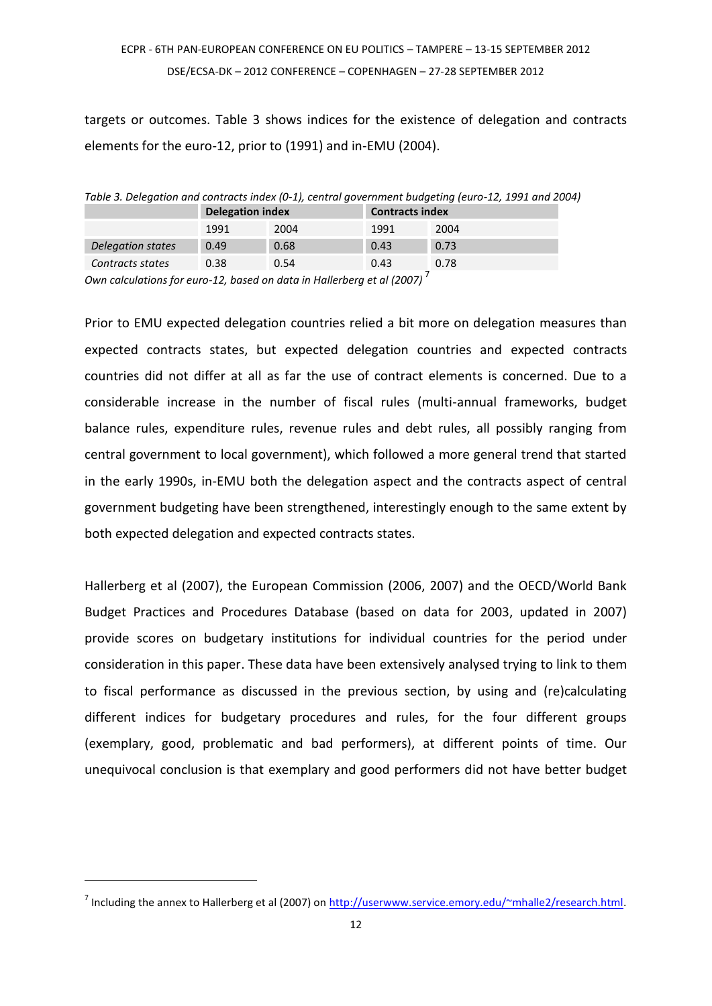targets or outcomes. Table 3 shows indices for the existence of delegation and contracts elements for the euro-12, prior to (1991) and in-EMU (2004).

*Table 3. Delegation and contracts index (0-1), central government budgeting (euro-12, 1991 and 2004)* 

|                   | <b>Delegation index</b> |      | <b>Contracts index</b> |      |
|-------------------|-------------------------|------|------------------------|------|
|                   | 1991                    | 2004 | 1991                   | 2004 |
| Delegation states | 0.49                    | 0.68 | 0.43                   | 0.73 |
| Contracts states  | 0.38                    | 0.54 | 0.43                   | 0.78 |

*Own calculations for euro-12, based on data in Hallerberg et al (2007)* <sup>7</sup>

Prior to EMU expected delegation countries relied a bit more on delegation measures than expected contracts states, but expected delegation countries and expected contracts countries did not differ at all as far the use of contract elements is concerned. Due to a considerable increase in the number of fiscal rules (multi-annual frameworks, budget balance rules, expenditure rules, revenue rules and debt rules, all possibly ranging from central government to local government), which followed a more general trend that started in the early 1990s, in-EMU both the delegation aspect and the contracts aspect of central government budgeting have been strengthened, interestingly enough to the same extent by both expected delegation and expected contracts states.

Hallerberg et al (2007), the European Commission (2006, 2007) and the OECD/World Bank Budget Practices and Procedures Database (based on data for 2003, updated in 2007) provide scores on budgetary institutions for individual countries for the period under consideration in this paper. These data have been extensively analysed trying to link to them to fiscal performance as discussed in the previous section, by using and (re)calculating different indices for budgetary procedures and rules, for the four different groups (exemplary, good, problematic and bad performers), at different points of time. Our unequivocal conclusion is that exemplary and good performers did not have better budget

<u>.</u>

<sup>&</sup>lt;sup>7</sup> Including the annex to Hallerberg et al (2007) on [http://userwww.service.emory.edu/~mhalle2/research.html.](http://userwww.service.emory.edu/~mhalle2/research.html)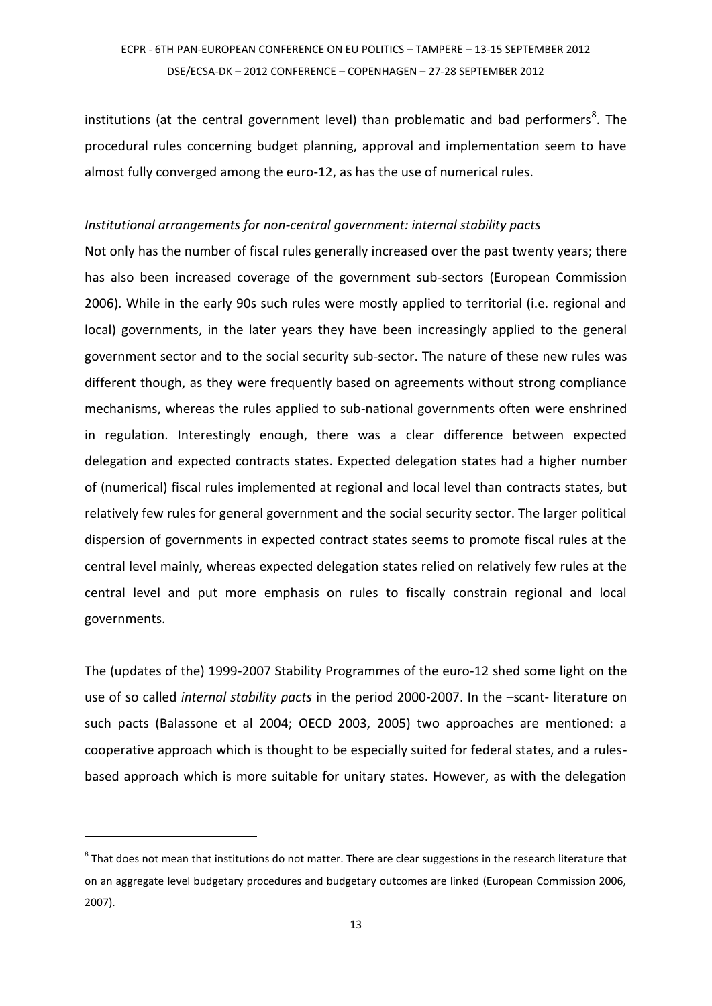institutions (at the central government level) than problematic and bad performers<sup>8</sup>. The procedural rules concerning budget planning, approval and implementation seem to have almost fully converged among the euro-12, as has the use of numerical rules.

#### *Institutional arrangements for non-central government: internal stability pacts*

Not only has the number of fiscal rules generally increased over the past twenty years; there has also been increased coverage of the government sub-sectors (European Commission 2006). While in the early 90s such rules were mostly applied to territorial (i.e. regional and local) governments, in the later years they have been increasingly applied to the general government sector and to the social security sub-sector. The nature of these new rules was different though, as they were frequently based on agreements without strong compliance mechanisms, whereas the rules applied to sub-national governments often were enshrined in regulation. Interestingly enough, there was a clear difference between expected delegation and expected contracts states. Expected delegation states had a higher number of (numerical) fiscal rules implemented at regional and local level than contracts states, but relatively few rules for general government and the social security sector. The larger political dispersion of governments in expected contract states seems to promote fiscal rules at the central level mainly, whereas expected delegation states relied on relatively few rules at the central level and put more emphasis on rules to fiscally constrain regional and local governments.

The (updates of the) 1999-2007 Stability Programmes of the euro-12 shed some light on the use of so called *internal stability pacts* in the period 2000-2007. In the –scant- literature on such pacts (Balassone et al 2004; OECD 2003, 2005) two approaches are mentioned: a cooperative approach which is thought to be especially suited for federal states, and a rulesbased approach which is more suitable for unitary states. However, as with the delegation

 $^8$  That does not mean that institutions do not matter. There are clear suggestions in the research literature that on an aggregate level budgetary procedures and budgetary outcomes are linked (European Commission 2006, 2007).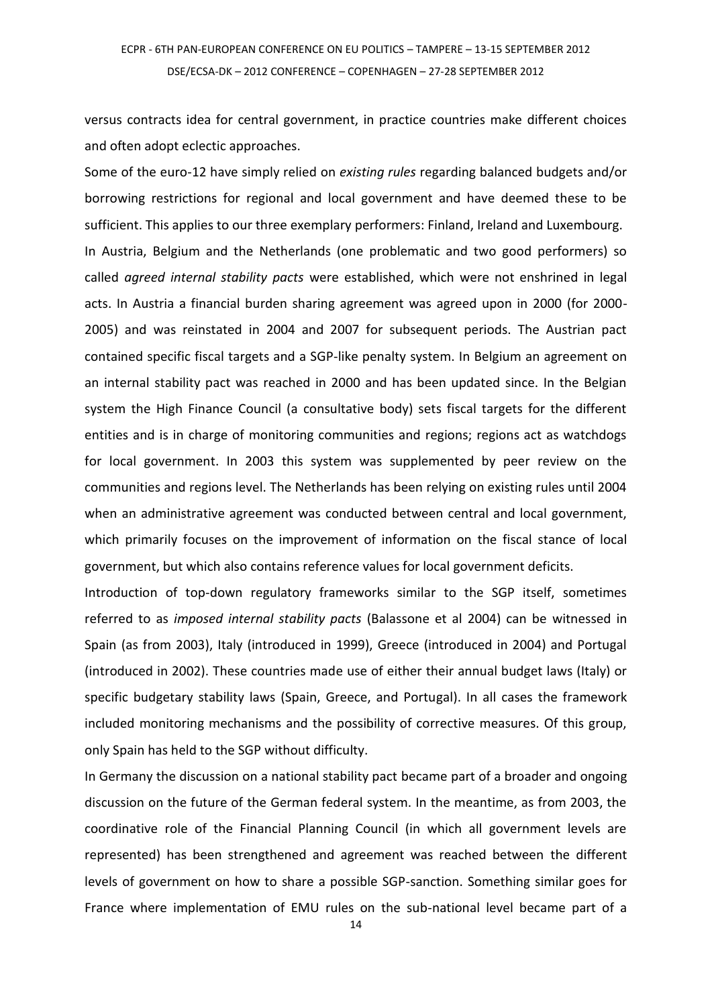versus contracts idea for central government, in practice countries make different choices and often adopt eclectic approaches.

Some of the euro-12 have simply relied on *existing rules* regarding balanced budgets and/or borrowing restrictions for regional and local government and have deemed these to be sufficient. This applies to our three exemplary performers: Finland, Ireland and Luxembourg. In Austria, Belgium and the Netherlands (one problematic and two good performers) so called *agreed internal stability pacts* were established, which were not enshrined in legal acts. In Austria a financial burden sharing agreement was agreed upon in 2000 (for 2000- 2005) and was reinstated in 2004 and 2007 for subsequent periods. The Austrian pact contained specific fiscal targets and a SGP-like penalty system. In Belgium an agreement on an internal stability pact was reached in 2000 and has been updated since. In the Belgian system the High Finance Council (a consultative body) sets fiscal targets for the different entities and is in charge of monitoring communities and regions; regions act as watchdogs for local government. In 2003 this system was supplemented by peer review on the communities and regions level. The Netherlands has been relying on existing rules until 2004 when an administrative agreement was conducted between central and local government, which primarily focuses on the improvement of information on the fiscal stance of local government, but which also contains reference values for local government deficits.

Introduction of top-down regulatory frameworks similar to the SGP itself, sometimes referred to as *imposed internal stability pacts* (Balassone et al 2004) can be witnessed in Spain (as from 2003), Italy (introduced in 1999), Greece (introduced in 2004) and Portugal (introduced in 2002). These countries made use of either their annual budget laws (Italy) or specific budgetary stability laws (Spain, Greece, and Portugal). In all cases the framework included monitoring mechanisms and the possibility of corrective measures. Of this group, only Spain has held to the SGP without difficulty.

In Germany the discussion on a national stability pact became part of a broader and ongoing discussion on the future of the German federal system. In the meantime, as from 2003, the coordinative role of the Financial Planning Council (in which all government levels are represented) has been strengthened and agreement was reached between the different levels of government on how to share a possible SGP-sanction. Something similar goes for France where implementation of EMU rules on the sub-national level became part of a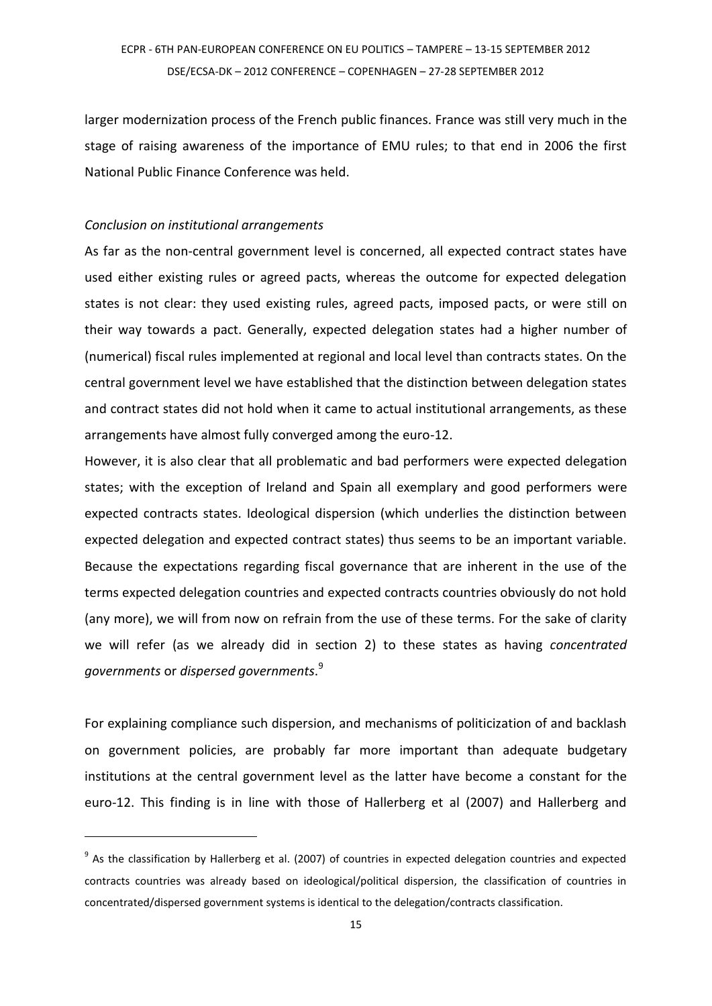larger modernization process of the French public finances. France was still very much in the stage of raising awareness of the importance of EMU rules; to that end in 2006 the first National Public Finance Conference was held.

### *Conclusion on institutional arrangements*

1

As far as the non-central government level is concerned, all expected contract states have used either existing rules or agreed pacts, whereas the outcome for expected delegation states is not clear: they used existing rules, agreed pacts, imposed pacts, or were still on their way towards a pact. Generally, expected delegation states had a higher number of (numerical) fiscal rules implemented at regional and local level than contracts states. On the central government level we have established that the distinction between delegation states and contract states did not hold when it came to actual institutional arrangements, as these arrangements have almost fully converged among the euro-12.

However, it is also clear that all problematic and bad performers were expected delegation states; with the exception of Ireland and Spain all exemplary and good performers were expected contracts states. Ideological dispersion (which underlies the distinction between expected delegation and expected contract states) thus seems to be an important variable. Because the expectations regarding fiscal governance that are inherent in the use of the terms expected delegation countries and expected contracts countries obviously do not hold (any more), we will from now on refrain from the use of these terms. For the sake of clarity we will refer (as we already did in section 2) to these states as having *concentrated governments* or *dispersed governments*. 9

For explaining compliance such dispersion, and mechanisms of politicization of and backlash on government policies, are probably far more important than adequate budgetary institutions at the central government level as the latter have become a constant for the euro-12. This finding is in line with those of Hallerberg et al (2007) and Hallerberg and

<sup>&</sup>lt;sup>9</sup> As the classification by Hallerberg et al. (2007) of countries in expected delegation countries and expected contracts countries was already based on ideological/political dispersion, the classification of countries in concentrated/dispersed government systems is identical to the delegation/contracts classification.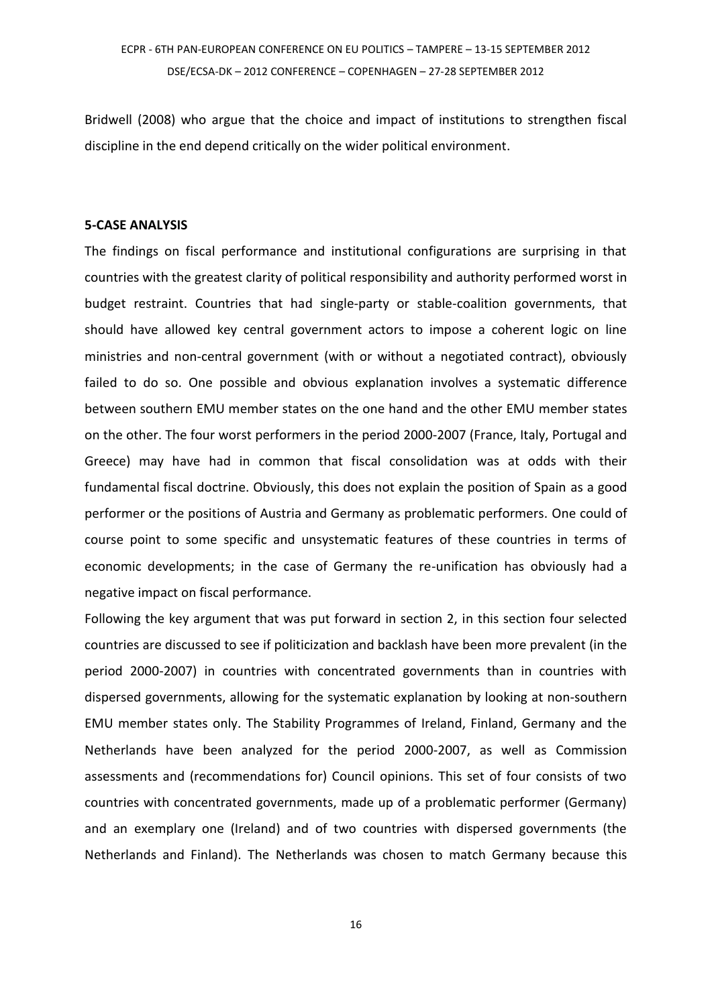Bridwell (2008) who argue that the choice and impact of institutions to strengthen fiscal discipline in the end depend critically on the wider political environment.

#### **5-CASE ANALYSIS**

The findings on fiscal performance and institutional configurations are surprising in that countries with the greatest clarity of political responsibility and authority performed worst in budget restraint. Countries that had single-party or stable-coalition governments, that should have allowed key central government actors to impose a coherent logic on line ministries and non-central government (with or without a negotiated contract), obviously failed to do so. One possible and obvious explanation involves a systematic difference between southern EMU member states on the one hand and the other EMU member states on the other. The four worst performers in the period 2000-2007 (France, Italy, Portugal and Greece) may have had in common that fiscal consolidation was at odds with their fundamental fiscal doctrine. Obviously, this does not explain the position of Spain as a good performer or the positions of Austria and Germany as problematic performers. One could of course point to some specific and unsystematic features of these countries in terms of economic developments; in the case of Germany the re-unification has obviously had a negative impact on fiscal performance.

Following the key argument that was put forward in section 2, in this section four selected countries are discussed to see if politicization and backlash have been more prevalent (in the period 2000-2007) in countries with concentrated governments than in countries with dispersed governments, allowing for the systematic explanation by looking at non-southern EMU member states only. The Stability Programmes of Ireland, Finland, Germany and the Netherlands have been analyzed for the period 2000-2007, as well as Commission assessments and (recommendations for) Council opinions. This set of four consists of two countries with concentrated governments, made up of a problematic performer (Germany) and an exemplary one (Ireland) and of two countries with dispersed governments (the Netherlands and Finland). The Netherlands was chosen to match Germany because this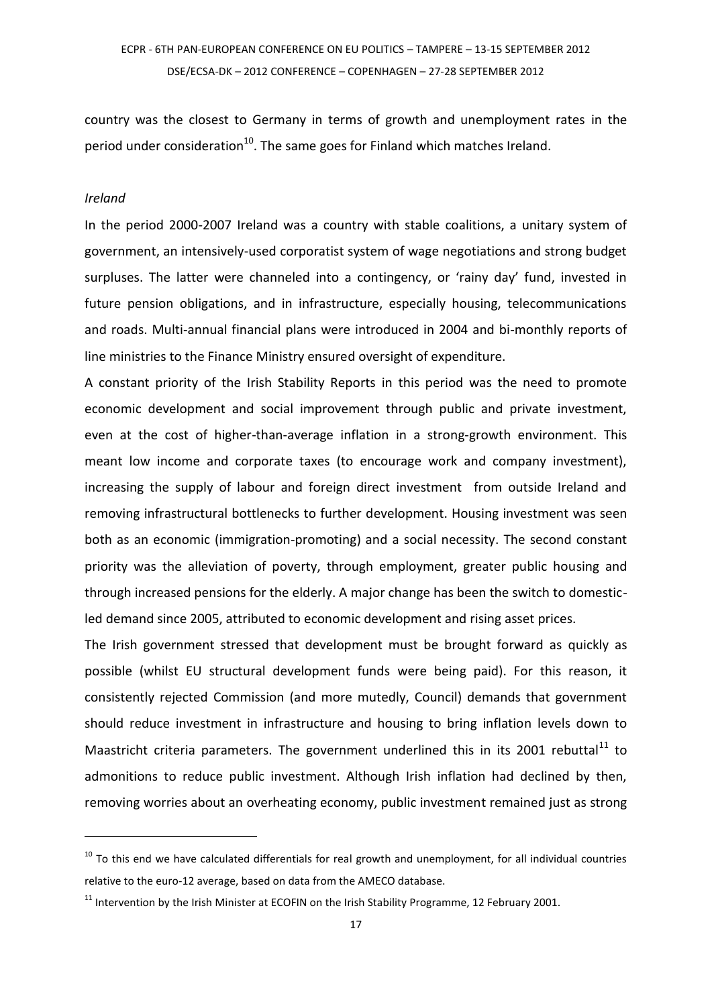country was the closest to Germany in terms of growth and unemployment rates in the period under consideration<sup>10</sup>. The same goes for Finland which matches Ireland.

#### *Ireland*

1

In the period 2000-2007 Ireland was a country with stable coalitions, a unitary system of government, an intensively-used corporatist system of wage negotiations and strong budget surpluses. The latter were channeled into a contingency, or 'rainy day' fund, invested in future pension obligations, and in infrastructure, especially housing, telecommunications and roads. Multi-annual financial plans were introduced in 2004 and bi-monthly reports of line ministries to the Finance Ministry ensured oversight of expenditure.

A constant priority of the Irish Stability Reports in this period was the need to promote economic development and social improvement through public and private investment, even at the cost of higher-than-average inflation in a strong-growth environment. This meant low income and corporate taxes (to encourage work and company investment), increasing the supply of labour and foreign direct investment from outside Ireland and removing infrastructural bottlenecks to further development. Housing investment was seen both as an economic (immigration-promoting) and a social necessity. The second constant priority was the alleviation of poverty, through employment, greater public housing and through increased pensions for the elderly. A major change has been the switch to domesticled demand since 2005, attributed to economic development and rising asset prices.

The Irish government stressed that development must be brought forward as quickly as possible (whilst EU structural development funds were being paid). For this reason, it consistently rejected Commission (and more mutedly, Council) demands that government should reduce investment in infrastructure and housing to bring inflation levels down to Maastricht criteria parameters. The government underlined this in its 2001 rebuttal<sup>11</sup> to admonitions to reduce public investment. Although Irish inflation had declined by then, removing worries about an overheating economy, public investment remained just as strong

 $10$  To this end we have calculated differentials for real growth and unemployment, for all individual countries relative to the euro-12 average, based on data from the AMECO database.

<sup>&</sup>lt;sup>11</sup> Intervention by the Irish Minister at ECOFIN on the Irish Stability Programme, 12 February 2001.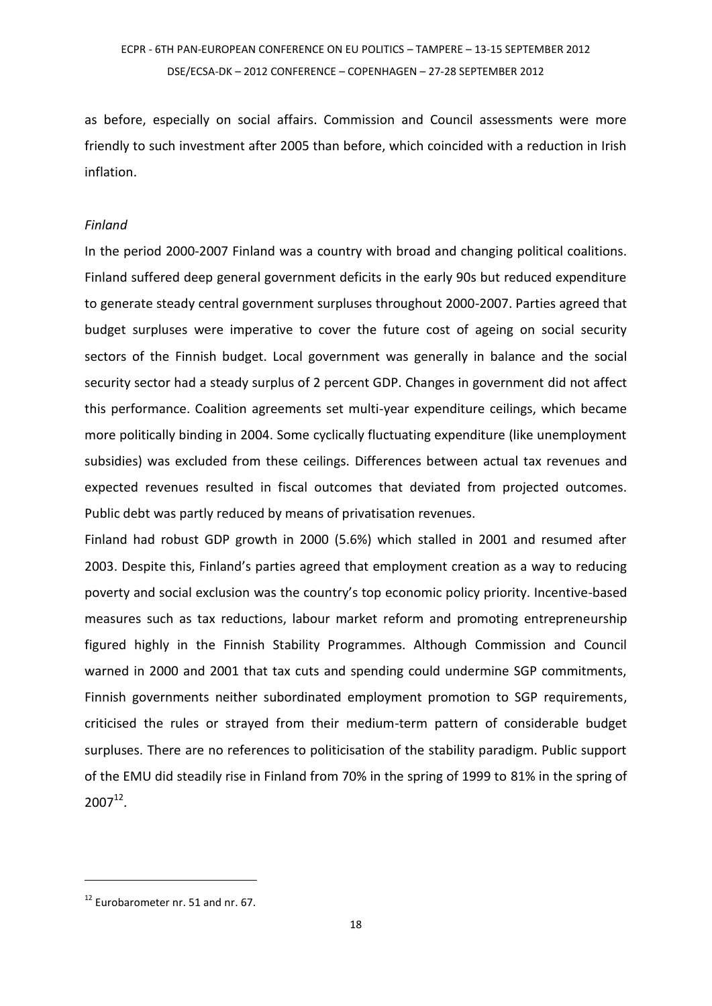as before, especially on social affairs. Commission and Council assessments were more friendly to such investment after 2005 than before, which coincided with a reduction in Irish inflation.

### *Finland*

In the period 2000-2007 Finland was a country with broad and changing political coalitions. Finland suffered deep general government deficits in the early 90s but reduced expenditure to generate steady central government surpluses throughout 2000-2007. Parties agreed that budget surpluses were imperative to cover the future cost of ageing on social security sectors of the Finnish budget. Local government was generally in balance and the social security sector had a steady surplus of 2 percent GDP. Changes in government did not affect this performance. Coalition agreements set multi-year expenditure ceilings, which became more politically binding in 2004. Some cyclically fluctuating expenditure (like unemployment subsidies) was excluded from these ceilings. Differences between actual tax revenues and expected revenues resulted in fiscal outcomes that deviated from projected outcomes. Public debt was partly reduced by means of privatisation revenues.

Finland had robust GDP growth in 2000 (5.6%) which stalled in 2001 and resumed after 2003. Despite this, Finland's parties agreed that employment creation as a way to reducing poverty and social exclusion was the country's top economic policy priority. Incentive-based measures such as tax reductions, labour market reform and promoting entrepreneurship figured highly in the Finnish Stability Programmes. Although Commission and Council warned in 2000 and 2001 that tax cuts and spending could undermine SGP commitments, Finnish governments neither subordinated employment promotion to SGP requirements, criticised the rules or strayed from their medium-term pattern of considerable budget surpluses. There are no references to politicisation of the stability paradigm. Public support of the EMU did steadily rise in Finland from 70% in the spring of 1999 to 81% in the spring of  $2007^{12}$ .

<u>.</u>

<sup>&</sup>lt;sup>12</sup> Eurobarometer nr. 51 and nr. 67.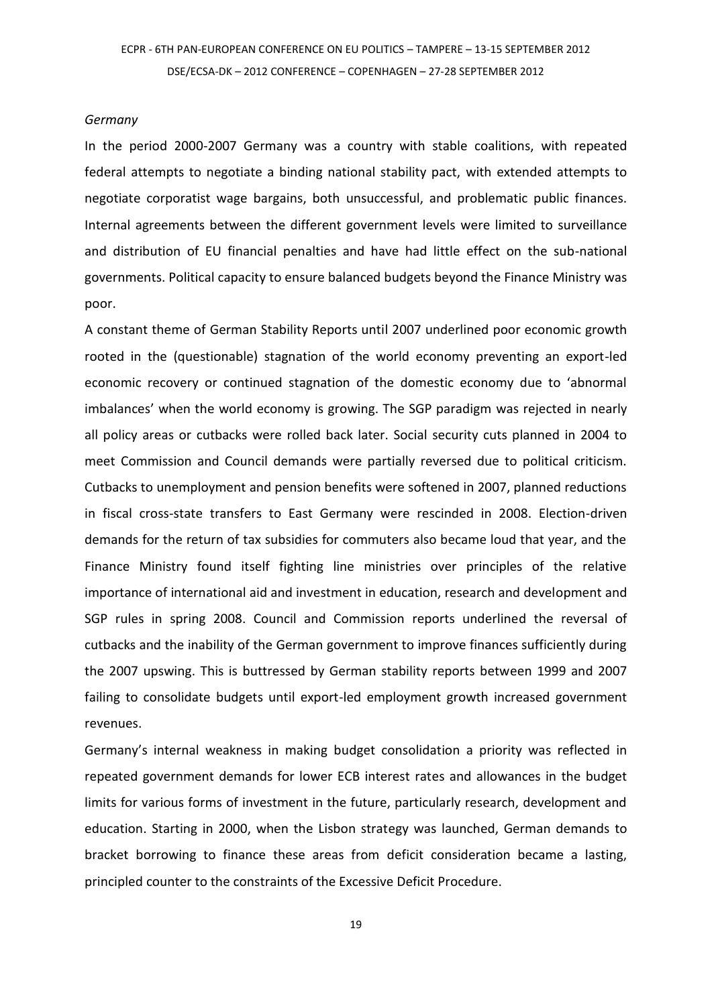#### *Germany*

In the period 2000-2007 Germany was a country with stable coalitions, with repeated federal attempts to negotiate a binding national stability pact, with extended attempts to negotiate corporatist wage bargains, both unsuccessful, and problematic public finances. Internal agreements between the different government levels were limited to surveillance and distribution of EU financial penalties and have had little effect on the sub-national governments. Political capacity to ensure balanced budgets beyond the Finance Ministry was poor.

A constant theme of German Stability Reports until 2007 underlined poor economic growth rooted in the (questionable) stagnation of the world economy preventing an export-led economic recovery or continued stagnation of the domestic economy due to 'abnormal imbalances' when the world economy is growing. The SGP paradigm was rejected in nearly all policy areas or cutbacks were rolled back later. Social security cuts planned in 2004 to meet Commission and Council demands were partially reversed due to political criticism. Cutbacks to unemployment and pension benefits were softened in 2007, planned reductions in fiscal cross-state transfers to East Germany were rescinded in 2008. Election-driven demands for the return of tax subsidies for commuters also became loud that year, and the Finance Ministry found itself fighting line ministries over principles of the relative importance of international aid and investment in education, research and development and SGP rules in spring 2008. Council and Commission reports underlined the reversal of cutbacks and the inability of the German government to improve finances sufficiently during the 2007 upswing. This is buttressed by German stability reports between 1999 and 2007 failing to consolidate budgets until export-led employment growth increased government revenues.

Germany's internal weakness in making budget consolidation a priority was reflected in repeated government demands for lower ECB interest rates and allowances in the budget limits for various forms of investment in the future, particularly research, development and education. Starting in 2000, when the Lisbon strategy was launched, German demands to bracket borrowing to finance these areas from deficit consideration became a lasting, principled counter to the constraints of the Excessive Deficit Procedure.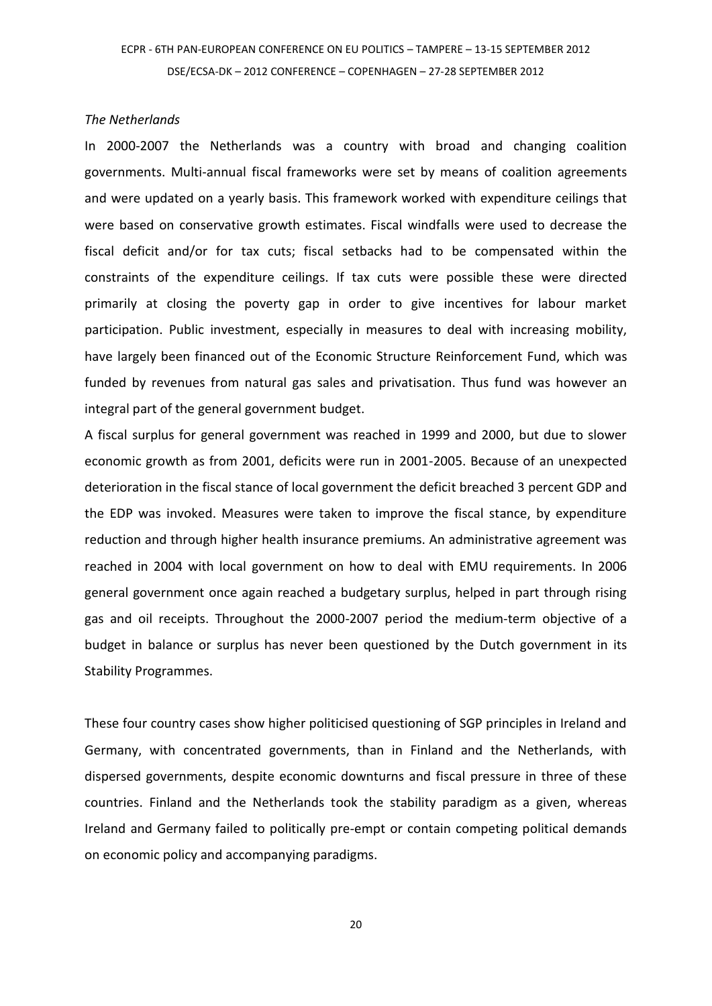### *The Netherlands*

In 2000-2007 the Netherlands was a country with broad and changing coalition governments. Multi-annual fiscal frameworks were set by means of coalition agreements and were updated on a yearly basis. This framework worked with expenditure ceilings that were based on conservative growth estimates. Fiscal windfalls were used to decrease the fiscal deficit and/or for tax cuts; fiscal setbacks had to be compensated within the constraints of the expenditure ceilings. If tax cuts were possible these were directed primarily at closing the poverty gap in order to give incentives for labour market participation. Public investment, especially in measures to deal with increasing mobility, have largely been financed out of the Economic Structure Reinforcement Fund, which was funded by revenues from natural gas sales and privatisation. Thus fund was however an integral part of the general government budget.

A fiscal surplus for general government was reached in 1999 and 2000, but due to slower economic growth as from 2001, deficits were run in 2001-2005. Because of an unexpected deterioration in the fiscal stance of local government the deficit breached 3 percent GDP and the EDP was invoked. Measures were taken to improve the fiscal stance, by expenditure reduction and through higher health insurance premiums. An administrative agreement was reached in 2004 with local government on how to deal with EMU requirements. In 2006 general government once again reached a budgetary surplus, helped in part through rising gas and oil receipts. Throughout the 2000-2007 period the medium-term objective of a budget in balance or surplus has never been questioned by the Dutch government in its Stability Programmes.

These four country cases show higher politicised questioning of SGP principles in Ireland and Germany, with concentrated governments, than in Finland and the Netherlands, with dispersed governments, despite economic downturns and fiscal pressure in three of these countries. Finland and the Netherlands took the stability paradigm as a given, whereas Ireland and Germany failed to politically pre-empt or contain competing political demands on economic policy and accompanying paradigms.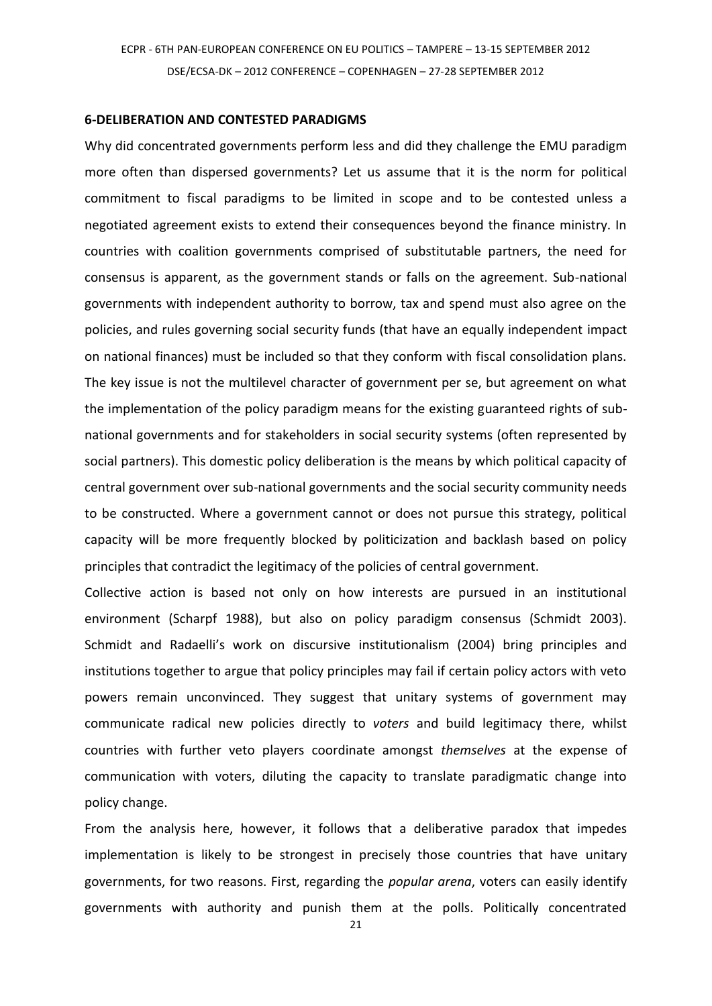#### **6-DELIBERATION AND CONTESTED PARADIGMS**

Why did concentrated governments perform less and did they challenge the EMU paradigm more often than dispersed governments? Let us assume that it is the norm for political commitment to fiscal paradigms to be limited in scope and to be contested unless a negotiated agreement exists to extend their consequences beyond the finance ministry. In countries with coalition governments comprised of substitutable partners, the need for consensus is apparent, as the government stands or falls on the agreement. Sub-national governments with independent authority to borrow, tax and spend must also agree on the policies, and rules governing social security funds (that have an equally independent impact on national finances) must be included so that they conform with fiscal consolidation plans. The key issue is not the multilevel character of government per se, but agreement on what the implementation of the policy paradigm means for the existing guaranteed rights of subnational governments and for stakeholders in social security systems (often represented by social partners). This domestic policy deliberation is the means by which political capacity of central government over sub-national governments and the social security community needs to be constructed. Where a government cannot or does not pursue this strategy, political capacity will be more frequently blocked by politicization and backlash based on policy principles that contradict the legitimacy of the policies of central government.

Collective action is based not only on how interests are pursued in an institutional environment (Scharpf 1988), but also on policy paradigm consensus (Schmidt 2003). Schmidt and Radaelli's work on discursive institutionalism (2004) bring principles and institutions together to argue that policy principles may fail if certain policy actors with veto powers remain unconvinced. They suggest that unitary systems of government may communicate radical new policies directly to *voters* and build legitimacy there, whilst countries with further veto players coordinate amongst *themselves* at the expense of communication with voters, diluting the capacity to translate paradigmatic change into policy change.

From the analysis here, however, it follows that a deliberative paradox that impedes implementation is likely to be strongest in precisely those countries that have unitary governments, for two reasons. First, regarding the *popular arena*, voters can easily identify governments with authority and punish them at the polls. Politically concentrated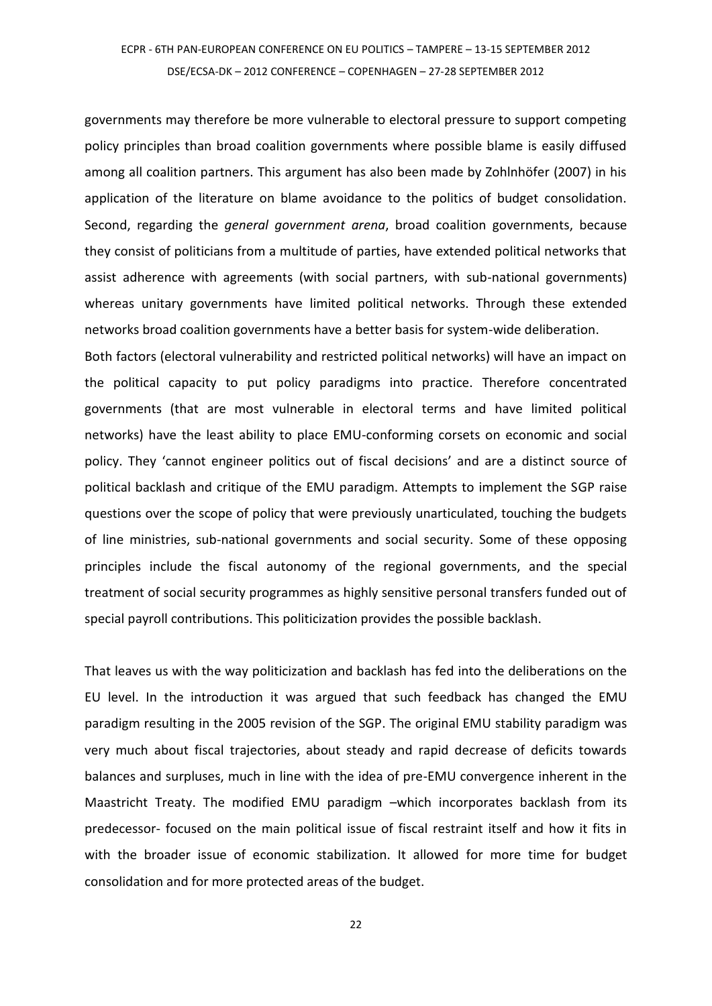governments may therefore be more vulnerable to electoral pressure to support competing policy principles than broad coalition governments where possible blame is easily diffused among all coalition partners. This argument has also been made by Zohlnhöfer (2007) in his application of the literature on blame avoidance to the politics of budget consolidation. Second, regarding the *general government arena*, broad coalition governments, because they consist of politicians from a multitude of parties, have extended political networks that assist adherence with agreements (with social partners, with sub-national governments) whereas unitary governments have limited political networks. Through these extended networks broad coalition governments have a better basis for system-wide deliberation.

Both factors (electoral vulnerability and restricted political networks) will have an impact on the political capacity to put policy paradigms into practice. Therefore concentrated governments (that are most vulnerable in electoral terms and have limited political networks) have the least ability to place EMU-conforming corsets on economic and social policy. They 'cannot engineer politics out of fiscal decisions' and are a distinct source of political backlash and critique of the EMU paradigm. Attempts to implement the SGP raise questions over the scope of policy that were previously unarticulated, touching the budgets of line ministries, sub-national governments and social security. Some of these opposing principles include the fiscal autonomy of the regional governments, and the special treatment of social security programmes as highly sensitive personal transfers funded out of special payroll contributions. This politicization provides the possible backlash.

That leaves us with the way politicization and backlash has fed into the deliberations on the EU level. In the introduction it was argued that such feedback has changed the EMU paradigm resulting in the 2005 revision of the SGP. The original EMU stability paradigm was very much about fiscal trajectories, about steady and rapid decrease of deficits towards balances and surpluses, much in line with the idea of pre-EMU convergence inherent in the Maastricht Treaty. The modified EMU paradigm –which incorporates backlash from its predecessor- focused on the main political issue of fiscal restraint itself and how it fits in with the broader issue of economic stabilization. It allowed for more time for budget consolidation and for more protected areas of the budget.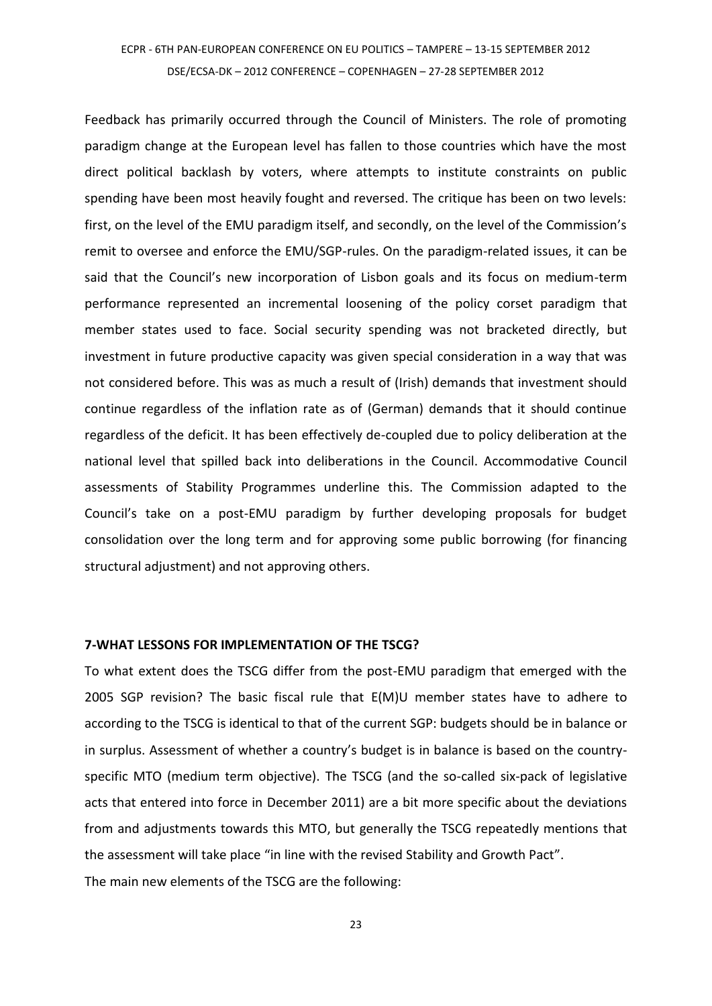Feedback has primarily occurred through the Council of Ministers. The role of promoting paradigm change at the European level has fallen to those countries which have the most direct political backlash by voters, where attempts to institute constraints on public spending have been most heavily fought and reversed. The critique has been on two levels: first, on the level of the EMU paradigm itself, and secondly, on the level of the Commission's remit to oversee and enforce the EMU/SGP-rules. On the paradigm-related issues, it can be said that the Council's new incorporation of Lisbon goals and its focus on medium-term performance represented an incremental loosening of the policy corset paradigm that member states used to face. Social security spending was not bracketed directly, but investment in future productive capacity was given special consideration in a way that was not considered before. This was as much a result of (Irish) demands that investment should continue regardless of the inflation rate as of (German) demands that it should continue regardless of the deficit. It has been effectively de-coupled due to policy deliberation at the national level that spilled back into deliberations in the Council. Accommodative Council assessments of Stability Programmes underline this. The Commission adapted to the Council's take on a post-EMU paradigm by further developing proposals for budget consolidation over the long term and for approving some public borrowing (for financing structural adjustment) and not approving others.

#### **7-WHAT LESSONS FOR IMPLEMENTATION OF THE TSCG?**

To what extent does the TSCG differ from the post-EMU paradigm that emerged with the 2005 SGP revision? The basic fiscal rule that E(M)U member states have to adhere to according to the TSCG is identical to that of the current SGP: budgets should be in balance or in surplus. Assessment of whether a country's budget is in balance is based on the countryspecific MTO (medium term objective). The TSCG (and the so-called six-pack of legislative acts that entered into force in December 2011) are a bit more specific about the deviations from and adjustments towards this MTO, but generally the TSCG repeatedly mentions that the assessment will take place "in line with the revised Stability and Growth Pact". The main new elements of the TSCG are the following: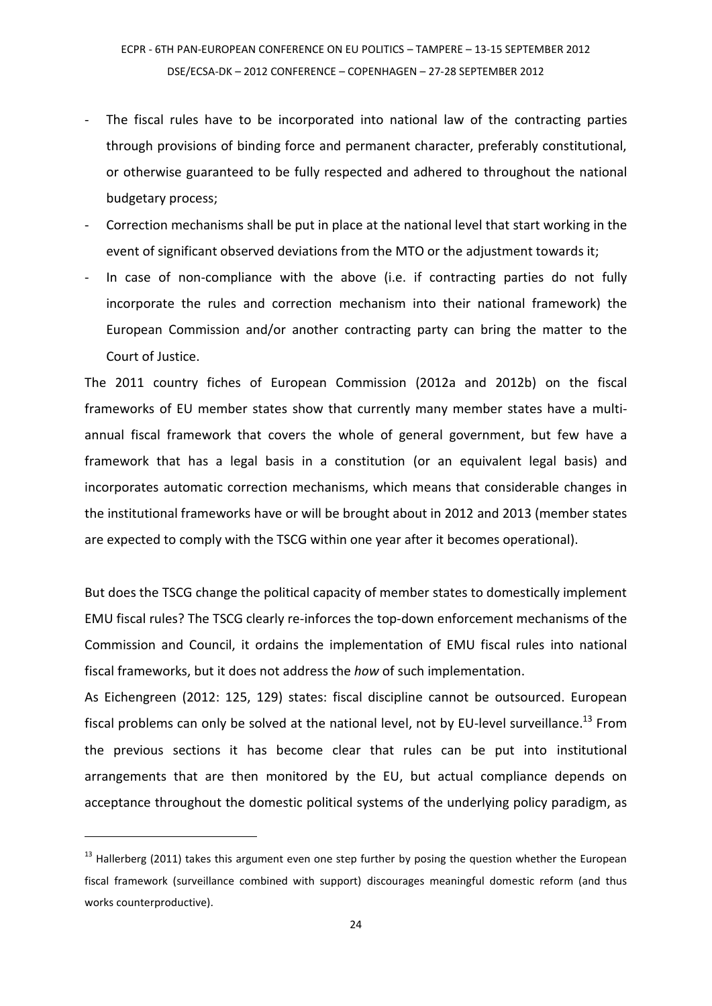- The fiscal rules have to be incorporated into national law of the contracting parties through provisions of binding force and permanent character, preferably constitutional, or otherwise guaranteed to be fully respected and adhered to throughout the national budgetary process;
- Correction mechanisms shall be put in place at the national level that start working in the event of significant observed deviations from the MTO or the adjustment towards it;
- In case of non-compliance with the above (i.e. if contracting parties do not fully incorporate the rules and correction mechanism into their national framework) the European Commission and/or another contracting party can bring the matter to the Court of Justice.

The 2011 country fiches of European Commission (2012a and 2012b) on the fiscal frameworks of EU member states show that currently many member states have a multiannual fiscal framework that covers the whole of general government, but few have a framework that has a legal basis in a constitution (or an equivalent legal basis) and incorporates automatic correction mechanisms, which means that considerable changes in the institutional frameworks have or will be brought about in 2012 and 2013 (member states are expected to comply with the TSCG within one year after it becomes operational).

But does the TSCG change the political capacity of member states to domestically implement EMU fiscal rules? The TSCG clearly re-inforces the top-down enforcement mechanisms of the Commission and Council, it ordains the implementation of EMU fiscal rules into national fiscal frameworks, but it does not address the *how* of such implementation.

As Eichengreen (2012: 125, 129) states: fiscal discipline cannot be outsourced. European fiscal problems can only be solved at the national level, not by EU-level surveillance.<sup>13</sup> From the previous sections it has become clear that rules can be put into institutional arrangements that are then monitored by the EU, but actual compliance depends on acceptance throughout the domestic political systems of the underlying policy paradigm, as

 $13$  Hallerberg (2011) takes this argument even one step further by posing the question whether the European fiscal framework (surveillance combined with support) discourages meaningful domestic reform (and thus works counterproductive).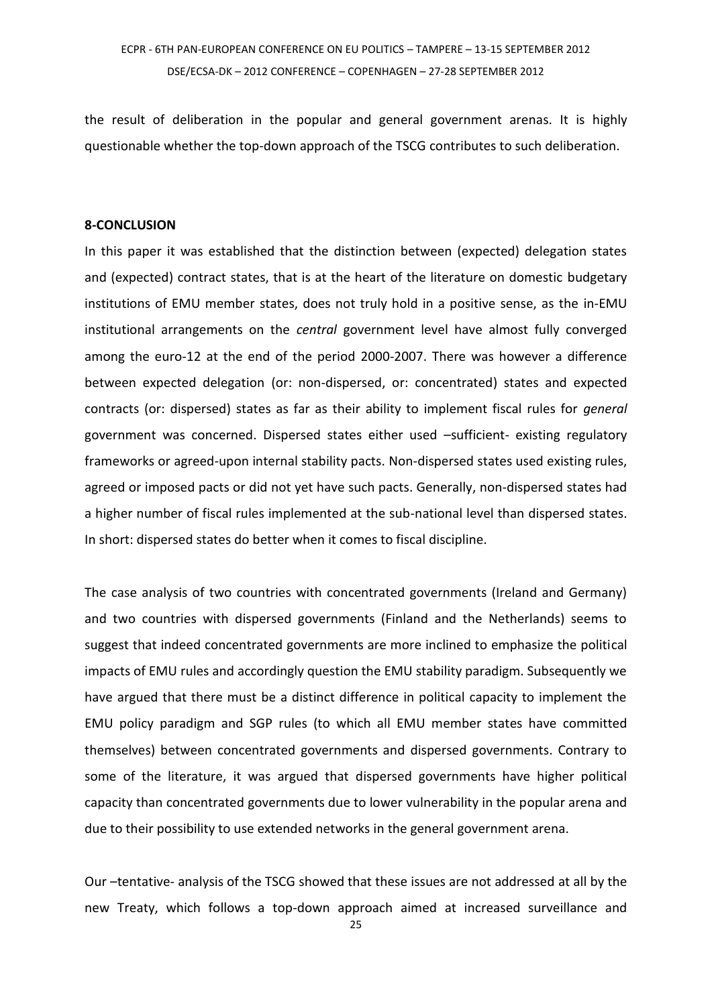the result of deliberation in the popular and general government arenas. It is highly questionable whether the top-down approach of the TSCG contributes to such deliberation.

#### **8-CONCLUSION**

In this paper it was established that the distinction between (expected) delegation states and (expected) contract states, that is at the heart of the literature on domestic budgetary institutions of EMU member states, does not truly hold in a positive sense, as the in-EMU institutional arrangements on the *central* government level have almost fully converged among the euro-12 at the end of the period 2000-2007. There was however a difference between expected delegation (or: non-dispersed, or: concentrated) states and expected contracts (or: dispersed) states as far as their ability to implement fiscal rules for *general* government was concerned. Dispersed states either used –sufficient- existing regulatory frameworks or agreed-upon internal stability pacts. Non-dispersed states used existing rules, agreed or imposed pacts or did not yet have such pacts. Generally, non-dispersed states had a higher number of fiscal rules implemented at the sub-national level than dispersed states. In short: dispersed states do better when it comes to fiscal discipline.

The case analysis of two countries with concentrated governments (Ireland and Germany) and two countries with dispersed governments (Finland and the Netherlands) seems to suggest that indeed concentrated governments are more inclined to emphasize the political impacts of EMU rules and accordingly question the EMU stability paradigm. Subsequently we have argued that there must be a distinct difference in political capacity to implement the EMU policy paradigm and SGP rules (to which all EMU member states have committed themselves) between concentrated governments and dispersed governments. Contrary to some of the literature, it was argued that dispersed governments have higher political capacity than concentrated governments due to lower vulnerability in the popular arena and due to their possibility to use extended networks in the general government arena.

Our –tentative- analysis of the TSCG showed that these issues are not addressed at all by the new Treaty, which follows a top-down approach aimed at increased surveillance and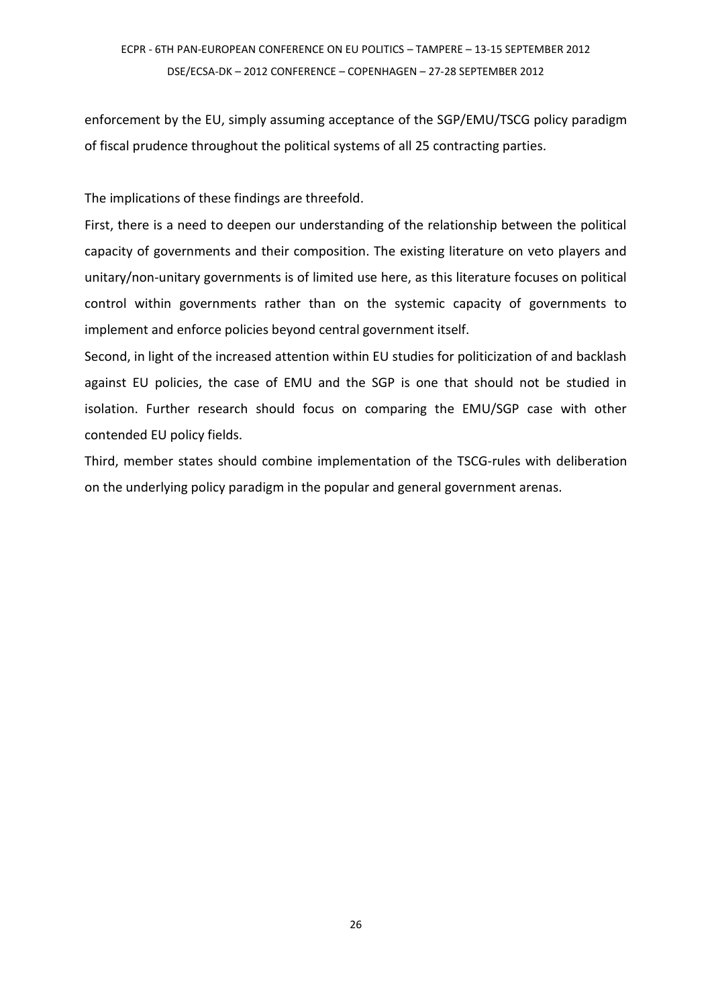enforcement by the EU, simply assuming acceptance of the SGP/EMU/TSCG policy paradigm of fiscal prudence throughout the political systems of all 25 contracting parties.

The implications of these findings are threefold.

First, there is a need to deepen our understanding of the relationship between the political capacity of governments and their composition. The existing literature on veto players and unitary/non-unitary governments is of limited use here, as this literature focuses on political control within governments rather than on the systemic capacity of governments to implement and enforce policies beyond central government itself.

Second, in light of the increased attention within EU studies for politicization of and backlash against EU policies, the case of EMU and the SGP is one that should not be studied in isolation. Further research should focus on comparing the EMU/SGP case with other contended EU policy fields.

Third, member states should combine implementation of the TSCG-rules with deliberation on the underlying policy paradigm in the popular and general government arenas.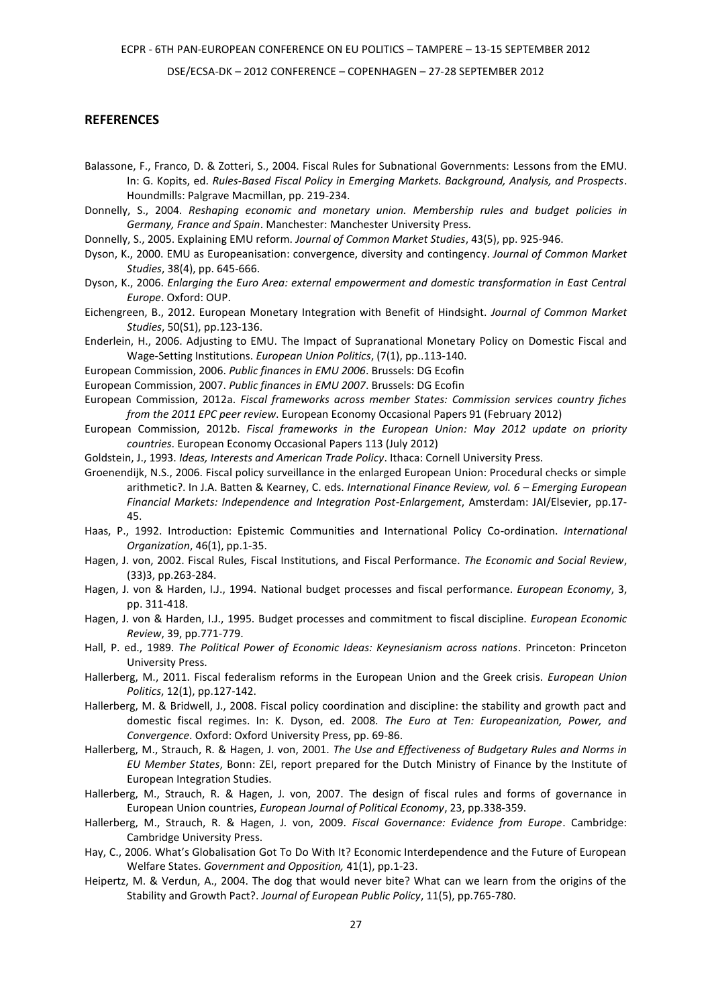DSE/ECSA-DK – 2012 CONFERENCE – COPENHAGEN – 27-28 SEPTEMBER 2012

#### **REFERENCES**

Balassone, F., Franco, D. & Zotteri, S., 2004. Fiscal Rules for Subnational Governments: Lessons from the EMU. In: G. Kopits, ed. *Rules-Based Fiscal Policy in Emerging Markets. Background, Analysis, and Prospects*. Houndmills: Palgrave Macmillan, pp. 219-234.

- Donnelly, S., 2004. *Reshaping economic and monetary union. Membership rules and budget policies in Germany, France and Spain*. Manchester: Manchester University Press.
- Donnelly, S., 2005. Explaining EMU reform. *Journal of Common Market Studies*, 43(5), pp. 925-946.
- Dyson, K., 2000. EMU as Europeanisation: convergence, diversity and contingency. *Journal of Common Market Studies*, 38(4), pp. 645-666.
- Dyson, K., 2006. *Enlarging the Euro Area: external empowerment and domestic transformation in East Central Europe*. Oxford: OUP.
- Eichengreen, B., 2012. European Monetary Integration with Benefit of Hindsight. *Journal of Common Market Studies*, 50(S1), pp.123-136.
- Enderlein, H., 2006. Adjusting to EMU. The Impact of Supranational Monetary Policy on Domestic Fiscal and Wage-Setting Institutions. *European Union Politics*, (7(1), pp..113-140.
- European Commission, 2006. *Public finances in EMU 2006*. Brussels: DG Ecofin
- European Commission, 2007. *Public finances in EMU 2007*. Brussels: DG Ecofin
- European Commission, 2012a. *Fiscal frameworks across member States: Commission services country fiches from the 2011 EPC peer review*. European Economy Occasional Papers 91 (February 2012)
- European Commission, 2012b. *Fiscal frameworks in the European Union: May 2012 update on priority countries*. European Economy Occasional Papers 113 (July 2012)
- Goldstein, J., 1993. *Ideas, Interests and American Trade Policy*. Ithaca: Cornell University Press.
- Groenendijk, N.S., 2006. Fiscal policy surveillance in the enlarged European Union: Procedural checks or simple arithmetic?. In J.A. Batten & Kearney, C. eds. *International Finance Review, vol. 6 – Emerging European Financial Markets: Independence and Integration Post-Enlargement*, Amsterdam: JAI/Elsevier, pp.17- 45.
- Haas, P., 1992. Introduction: Epistemic Communities and International Policy Co-ordination. *International Organization*, 46(1), pp.1-35.
- Hagen, J. von, 2002. Fiscal Rules, Fiscal Institutions, and Fiscal Performance. *The Economic and Social Review*, (33)3, pp.263-284.
- Hagen, J. von & Harden, I.J., 1994. National budget processes and fiscal performance. *European Economy*, 3, pp. 311-418.
- Hagen, J. von & Harden, I.J., 1995. Budget processes and commitment to fiscal discipline. *European Economic Review*, 39, pp.771-779.
- Hall, P. ed., 1989. *The Political Power of Economic Ideas: Keynesianism across nations*. Princeton: Princeton University Press.
- Hallerberg, M., 2011. Fiscal federalism reforms in the European Union and the Greek crisis. *European Union Politics*, 12(1), pp.127-142.
- Hallerberg, M. & Bridwell, J., 2008. Fiscal policy coordination and discipline: the stability and growth pact and domestic fiscal regimes. In: K. Dyson, ed. 2008. *The Euro at Ten: Europeanization, Power, and Convergence*. Oxford: Oxford University Press, pp. 69-86.
- Hallerberg, M., Strauch, R. & Hagen, J. von, 2001. *The Use and Effectiveness of Budgetary Rules and Norms in EU Member States*, Bonn: ZEI, report prepared for the Dutch Ministry of Finance by the Institute of European Integration Studies.
- Hallerberg, M., Strauch, R. & Hagen, J. von, 2007. The design of fiscal rules and forms of governance in European Union countries, *European Journal of Political Economy*, 23, pp.338-359.
- Hallerberg, M., Strauch, R. & Hagen, J. von, 2009. *Fiscal Governance: Evidence from Europe*. Cambridge: Cambridge University Press.
- Hay, C., 2006. What's Globalisation Got To Do With It? Economic Interdependence and the Future of European Welfare States. *Government and Opposition,* 41(1), pp.1-23.
- Heipertz, M. & Verdun, A., 2004. The dog that would never bite? What can we learn from the origins of the Stability and Growth Pact?. *Journal of European Public Policy*, 11(5), pp.765-780.